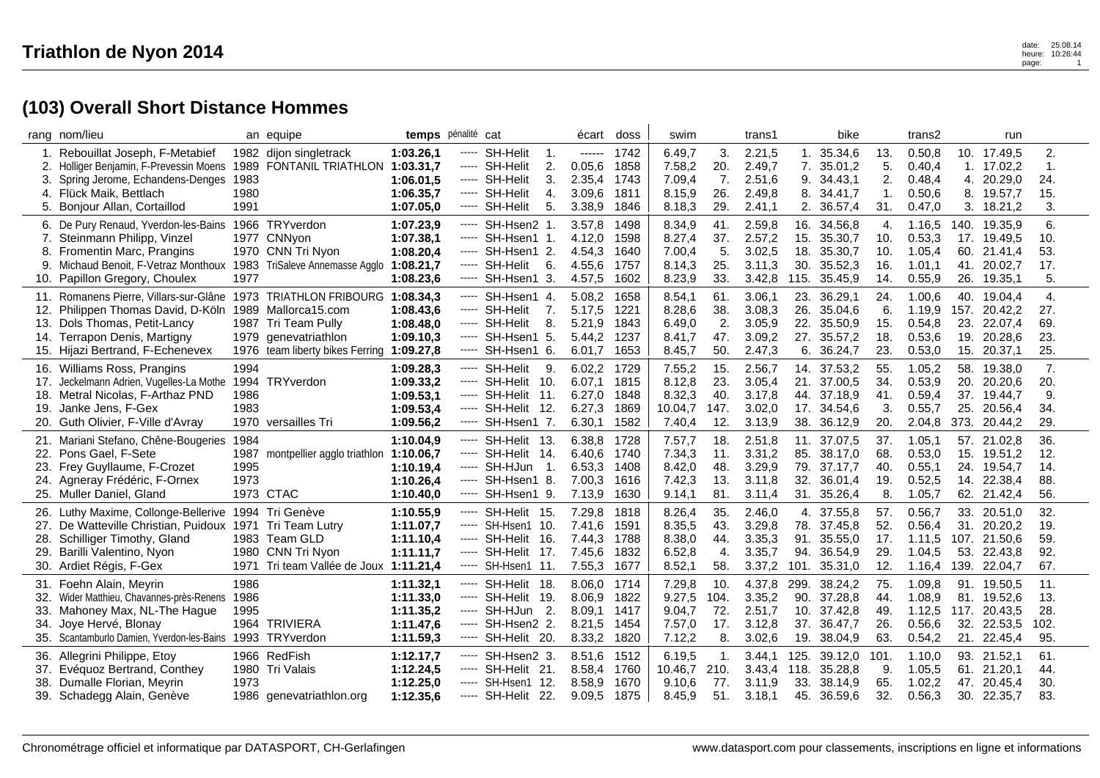|     | rang nom/lieu                          |      | an equipe                                 | temps pénalité cat |       |                       | écart       | doss | swim    |      | trans1 |      | bike        |      | trans2  |      | run          |      |
|-----|----------------------------------------|------|-------------------------------------------|--------------------|-------|-----------------------|-------------|------|---------|------|--------|------|-------------|------|---------|------|--------------|------|
| 1.  | Rebouillat Joseph, F-Metabief          |      | 1982 dijon singletrack                    | 1:03.26.1          | ----- | <b>SH-Helit</b><br>1. | ------      | 1742 | 6.49,7  | 3.   | 2.21,5 | 1.   | 35.34,6     | 13.  | 0.50, 8 |      | 10. 17.49,5  | 2.   |
| 2.  | Holliger Benjamin, F-Prevessin Moens   | 1989 | FONTANIL TRIATHLON 1:03.31,7              |                    | ----- | SH-Helit<br>2.        | 0.05,6      | 1858 | 7.58,2  | 20.  | 2.49,7 | 7.   | 35.01,2     | 5.   | 0.40,4  |      | 1. 17.02,2   | 1.   |
| 3.  | Spring Jerome, Echandens-Denges        | 1983 |                                           | 1:06.01.5          |       | SH-Helit<br>3.        | 2.35,4      | 1743 | 7.09,4  | 7.   | 2.51,6 | 9.   | 34.43,1     | 2.   | 0.48,4  |      | 4. 20.29,0   | 24.  |
| 4.  | Flück Maik, Bettlach                   | 1980 |                                           | 1:06.35,7          | ----- | SH-Helit<br>4.        | 3.09,6      | 1811 | 8.15,9  | 26.  | 2.49,8 | 8.   | 34.41,7     | 1.   | 0.50,6  |      | 8. 19.57,7   | 15.  |
|     | 5. Bonjour Allan, Cortaillod           | 1991 |                                           | 1:07.05,0          | ----- | 5.<br><b>SH-Helit</b> | 3.38,9      | 1846 | 8.18,3  | 29.  | 2.41,1 |      | 2. 36.57,4  | 31.  | 0.47,0  |      | 3. 18.21,2   | 3.   |
|     | 6. De Pury Renaud, Yverdon-les-Bains   |      | 1966 TRYverdon                            | 1:07.23.9          | ----- | SH-Hsen2 1.           | 3.57,8      | 1498 | 8.34,9  | 41.  | 2.59,8 |      | 16. 34.56.8 | 4.   | 1.16.5  |      | 140. 19.35,9 | 6.   |
| 7.  | Steinmann Philipp, Vinzel              |      | 1977 CNNyon                               | 1:07.38,1          | ----- | SH-Hsen1 1            | 4.12,0      | 1598 | 8.27,4  | 37.  | 2.57,2 | 15.  | 35.30,7     | 10.  | 0.53,3  |      | 17. 19.49,5  | 10.  |
| 8.  | Fromentin Marc, Prangins               |      | 1970 CNN Tri Nyon                         | 1:08.20,4          |       | SH-Hsen1 2.           | 4.54,3      | 1640 | 7.00,4  | 5.   | 3.02,5 | 18.  | 35.30,7     | 10.  | 1.05,4  | 60.  | 21.41,4      | 53.  |
| 9.  | Michaud Benoit, F-Vetraz Monthoux      |      | 1983 TriSaleve Annemasse Agglo            | 1:08.21,7          | ----- | SH-Helit<br>6.        | 4.55,6      | 1757 | 8.14,3  | 25.  | 3.11,3 | 30.  | 35.52,3     | 16.  | 1.01,1  | 41.  | 20.02,7      | 17.  |
| 10. | Papillon Gregory, Choulex              | 1977 |                                           | 1:08.23,6          |       | SH-Hsen1 3.           | 4.57,5      | 1602 | 8.23,9  | 33.  | 3.42,8 | 115. | 35.45,9     | 14.  | 0.55,9  | 26.  | 19.35,1      | 5.   |
| 11. | Romanens Pierre, Villars-sur-Glâne     |      | 1973 TRIATHLON FRIBOURG 1:08.34,3         |                    | ----- | SH-Hsen1 4.           | 5.08,2      | 1658 | 8.54,1  | 61.  | 3.06,1 | 23.  | 36.29,1     | 24.  | 1.00,6  | 40.  | 19.04,4      | 4.   |
|     | 12. Philippen Thomas David, D-Köln     |      | 1989 Mallorca15.com                       | 1:08.43.6          | ----- | SH-Helit<br>7.        | 5.17,5      | 1221 | 8.28,6  | 38.  | 3.08,3 | 26.  | 35.04,6     | 6.   | 1.19,9  | 157. | 20.42,2      | 27.  |
| 13. | Dols Thomas, Petit-Lancy               |      | 1987 Tri Team Pully                       | 1:08.48.0          |       | ----- SH-Helit<br>8.  | 5.21.9      | 1843 | 6.49,0  | 2.   | 3.05,9 |      | 22. 35.50,9 | 15.  | 0.54,8  | 23.  | 22.07.4      | 69.  |
| 14. | Terrapon Denis, Martigny               |      | 1979 genevatriathlon                      | 1:09.10,3          | ----- | SH-Hsen1 5.           | 5.44,2      | 1237 | 8.41,7  | 47.  | 3.09,2 | 27.  | 35.57,2     | 18.  | 0.53,6  | 19.  | 20.28,6      | 23.  |
|     | 15. Hijazi Bertrand, F-Echenevex       |      | 1976 team liberty bikes Ferring 1:09.27,8 |                    |       | SH-Hsen1 6.           | 6.01,7      | 1653 | 8.45,7  | 50.  | 2.47,3 | 6.   | 36.24,7     | 23.  | 0.53,0  | 15.  | 20.37,1      | 25.  |
|     | 16. Williams Ross, Prangins            | 1994 |                                           | 1:09.28,3          | ----- | SH-Helit<br>9.        | 6.02,2      | 1729 | 7.55,2  | 15.  | 2.56,7 |      | 14. 37.53,2 | 55.  | 1.05,2  | 58.  | 19.38,0      | 7.   |
| 17. | Jeckelmann Adrien, Vugelles-La Mothe   |      | 1994 TRYverdon                            | 1:09.33,2          |       | ----- SH-Helit 10.    | 6.07,1      | 1815 | 8.12,8  | 23.  | 3.05,4 | 21.  | 37.00,5     | 34.  | 0.53,9  | 20.  | 20.20,6      | 20.  |
| 18. | Metral Nicolas, F-Arthaz PND           | 1986 |                                           | 1:09.53,1          |       | ----- SH-Helit 11.    | 6.27.0      | 1848 | 8.32,3  | 40.  | 3.17,8 |      | 44. 37.18.9 | 41.  | 0.59,4  |      | 37. 19.44.7  | 9.   |
| 19. | Janke Jens, F-Gex                      | 1983 |                                           | 1:09.53,4          | ----- | SH-Helit 12.          | 6.27,3      | 1869 | 10.04,7 | 147. | 3.02,0 |      | 17. 34.54,6 | 3.   | 0.55,7  | 25.  | 20.56,4      | 34.  |
| 20. | Guth Olivier, F-Ville d'Avray          |      | 1970 versailles Tri                       | 1:09.56,2          | ----- | SH-Hsen1 7.           | 6.30,1      | 1582 | 7.40,4  | 12.  | 3.13,9 | 38.  | 36.12,9     | 20.  | 2.04,8  |      | 373. 20.44,2 | 29.  |
|     | 21. Mariani Stefano, Chêne-Bougeries   | 1984 |                                           | 1:10.04.9          |       | SH-Helit 13.          | 6.38,8      | 1728 | 7.57,7  | 18.  | 2.51,8 |      | 11. 37.07,5 | 37.  | 1.05,1  |      | 57. 21.02,8  | 36.  |
| 22. | Pons Gael, F-Sete                      | 1987 | montpellier agglo triathlon               | 1:10.06,7          | ----- | SH-Helit 14.          | 6.40,6      | 1740 | 7.34,3  | 11.  | 3.31,2 | 85.  | 38.17,0     | 68.  | 0.53,0  | 15.  | 19.51,2      | 12.  |
| 23. | Frey Guyllaume, F-Crozet               | 1995 |                                           | 1:10.19,4          |       | ----- SH-HJun<br>-1.  | 6.53,3      | 1408 | 8.42,0  | 48.  | 3.29,9 | 79.  | 37.17,7     | 40.  | 0.55,1  |      | 24. 19.54,7  | 14.  |
|     | 24. Agneray Frédéric, F-Ornex          | 1973 |                                           | 1:10.26.4          | ----- | SH-Hsen1 8.           | 7.00.3      | 1616 | 7.42,3  | 13.  | 3.11.8 |      | 32. 36.01,4 | 19.  | 0.52,5  |      | 14. 22.38.4  | 88.  |
|     | 25. Muller Daniel, Gland               |      | 1973 CTAC                                 | 1:10.40,0          | ----- | SH-Hsen1 9.           | 7.13,9      | 1630 | 9.14,1  | 81.  | 3.11,4 |      | 31. 35.26,4 | 8.   | 1.05,7  |      | 62. 21.42,4  | 56.  |
| 26. | Luthy Maxime, Collonge-Bellerive       |      | 1994 Tri Genève                           | 1:10.55,9          | ----- | SH-Helit 15.          | 7.29,8      | 1818 | 8.26,4  | 35.  | 2.46,0 |      | 4. 37.55.8  | 57.  | 0.56.7  | 33.  | 20.51.0      | 32.  |
| 27. | De Watteville Christian, Puidoux       |      | 1971 Tri Team Lutry                       | 1:11.07,7          |       | SH-Hsen1 10.          | 7.41,6      | 1591 | 8.35,5  | 43.  | 3.29,8 |      | 78. 37.45,8 | 52.  | 0.56,4  | 31.  | 20.20,2      | 19.  |
| 28. | Schilliger Timothy, Gland              |      | 1983 Team GLD                             | 1:11.10,4          |       | SH-Helit 16.          | 7.44,3      | 1788 | 8.38,0  | 44.  | 3.35,3 | 91.  | 35.55,0     | 17.  | 1.11,5  |      | 107. 21.50,6 | 59.  |
| 29. | Barilli Valentino, Nyon                |      | 1980 CNN Tri Nyon                         | 1:11.11,7          | ----- | SH-Helit 17.          | 7.45,6      | 1832 | 6.52,8  | 4.   | 3.35,7 | 94.  | 36.54,9     | 29.  | 1.04,5  | 53.  | 22.43,8      | 92.  |
|     | 30. Ardiet Régis, F-Gex                |      | 1971 Tri team Vallée de Joux 1:11.21,4    |                    | ----- | SH-Hsen1 11.          | 7.55,3      | 1677 | 8.52,1  | 58.  | 3.37,2 | 101. | 35.31,0     | 12.  | 1.16,4  |      | 139. 22.04,7 | 67.  |
|     | 31. Foehn Alain, Meyrin                | 1986 |                                           | 1:11.32,1          | ----- | SH-Helit 18.          | 8.06,0 1714 |      | 7.29,8  | 10.  | 4.37,8 | 299. | 38.24,2     | 75.  | 1.09,8  |      | 91. 19.50,5  | 11.  |
| 32. | Wider Matthieu, Chavannes-près-Renens  | 1986 |                                           | 1:11.33,0          | ----- | SH-Helit 19.          | 8.06,9      | 1822 | 9.27,5  | 104. | 3.35,2 | 90.  | 37.28,8     | 44.  | 1.08,9  |      | 81. 19.52,6  | 13.  |
| 33. | Mahoney Max, NL-The Haque              | 1995 |                                           | 1:11.35,2          | ----- | SH-HJun<br>-2.        | 8.09.1      | 1417 | 9.04,7  | 72.  | 2.51.7 |      | 10. 37.42.8 | 49.  | 1.12,5  | 117. | 20.43.5      | 28.  |
| 34. | Joye Hervé, Blonay                     |      | 1964 TRIVIERA                             | 1:11.47,6          | ----- | SH-Hsen2 2.           | 8.21,5      | 1454 | 7.57,0  | 17.  | 3.12,8 |      | 37. 36.47,7 | 26.  | 0.56,6  | 32.  | 22.53,5      | 102. |
| 35. | Scantamburlo Damien, Yverdon-les-Bains |      | 1993 TRYverdon                            | 1:11.59,3          | ----- | SH-Helit 20.          | 8.33,2      | 1820 | 7.12,2  | 8.   | 3.02,6 | 19.  | 38.04,9     | 63.  | 0.54,2  | 21.  | 22.45,4      | 95.  |
|     |                                        |      |                                           |                    |       |                       |             |      |         |      |        |      |             |      |         |      |              |      |
|     | 36. Allegrini Philippe, Etoy           |      | 1966 RedFish                              | 1:12.17,7          |       | ----- SH-Hsen2 3.     | 8.51,6      | 1512 | 6.19,5  | 1.   | 3.44,1 | 125. | 39.12,0     | 101. | 1.10.0  |      | 93. 21.52,1  | 61.  |
|     | 37. Evéquoz Bertrand, Conthey          |      | 1980 Tri Valais                           | 1:12.24,5          |       | ----- SH-Helit 21.    | 8.58,4 1760 |      | 10.46,7 | 210. | 3.43,4 | 118. | 35.28,8     | 9.   | 1.05,5  | 61.  | 21.20,1      | 44.  |
| 38. | Dumalle Florian, Meyrin                | 1973 |                                           | 1:12.25,0          | ----- | SH-Hsen1 12.          | 8.58,9      | 1670 | 9.10,6  | 77.  | 3.11,9 | 33.  | 38.14,9     | 65.  | 1.02,2  | 47.  | 20.45,4      | 30.  |
|     | 39. Schadegg Alain, Genève             |      | 1986 genevatriathlon.org                  | 1:12.35,6          |       | ----- SH-Helit 22.    | 9.09,5 1875 |      | 8.45,9  | 51.  | 3.18,1 | 45.  | 36.59,6     | 32.  | 0.56, 3 |      | 30. 22.35,7  | 83.  |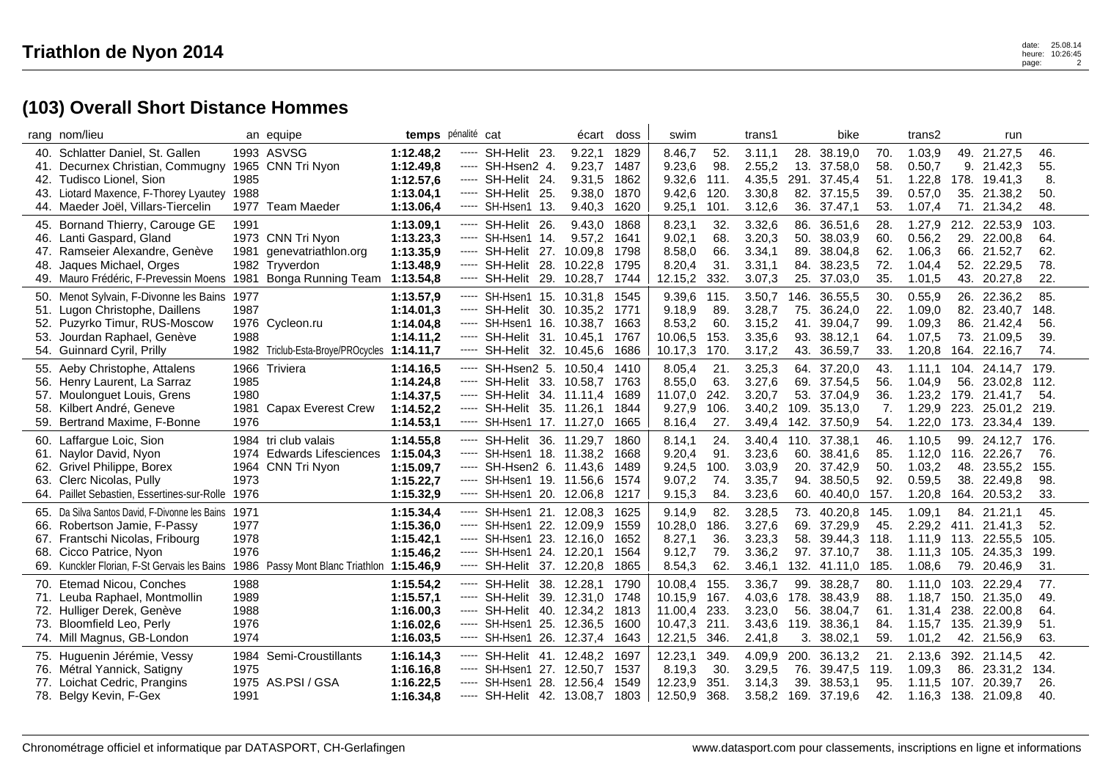|     | rang nom/lieu                                                                          |      | an equipe                                   | temps pénalité cat |          |                            |     | écart       | doss | swim    |      | trans1 |      | bike         |      | trans2  |      | run                 |      |
|-----|----------------------------------------------------------------------------------------|------|---------------------------------------------|--------------------|----------|----------------------------|-----|-------------|------|---------|------|--------|------|--------------|------|---------|------|---------------------|------|
|     | 40. Schlatter Daniel, St. Gallen                                                       |      | 1993 ASVSG                                  | 1:12.48,2          | -----    | SH-Helit 23.               |     | 9.22,1      | 1829 | 8.46,7  | 52.  | 3.11,1 | 28.  | 38.19,0      | 70.  | 1.03,9  |      | 49. 21.27,5         | 46.  |
| 41. | Decurnex Christian, Commugny                                                           |      | 1965 CNN Tri Nyon                           | 1:12.49,8          |          | ----- SH-Hsen2 4.          |     | 9.23,7      | 1487 | 9.23,6  | 98.  | 2.55,2 | 13.  | 37.58,0      | 58.  | 0.50,7  | 9.   | 21.42,3             | 55.  |
|     | 42. Tudisco Lionel, Sion                                                               | 1985 |                                             | 1:12.57,6          |          | ----- SH-Helit 24.         |     | 9.31,5      | 1862 | 9.32,6  | 111. | 4.35,5 |      | 291. 37.45,4 | 51.  | 1.22,8  |      | 178. 19.41,3        | 8.   |
|     | 43. Liotard Maxence, F-Thorey Lyautey                                                  | 1988 |                                             | 1:13.04.1          | -----    | SH-Helit 25.               |     | 9.38,0      | 1870 | 9.42,6  | 120. | 3.30,8 |      | 82. 37.15,5  | 39.  | 0.57,0  | 35.  | 21.38,2             | 50.  |
|     | 44. Maeder Joël, Villars-Tiercelin                                                     | 1977 | Team Maeder                                 | 1:13.06,4          | $\cdots$ | 13.<br>SH-Hsen1            |     | 9.40,3      | 1620 | 9.25,1  | 101. | 3.12,6 | 36.  | 37.47,1      | 53.  | 1.07,4  | 71.  | 21.34,2             | 48.  |
|     | 45. Bornand Thierry, Carouge GE                                                        | 1991 |                                             | 1:13.09,1          |          | ----- SH-Helit 26.         |     | 9.43,0      | 1868 | 8.23,1  | 32.  | 3.32,6 | 86.  | 36.51,6      | 28.  | 1.27,9  |      | 212. 22.53,9        | 103. |
|     | 46. Lanti Gaspard, Gland                                                               |      | 1973 CNN Tri Nyon                           | 1:13.23,3          |          | ----- SH-Hsen1 14.         |     | 9.57,2      | 1641 | 9.02,1  | 68.  | 3.20,3 | 50.  | 38.03,9      | 60.  | 0.56,2  | 29.  | 22.00,8             | 64.  |
| 47. | Ramseier Alexandre, Genève                                                             | 1981 | genevatriathlon.org                         | 1:13.35,9          |          | ----- SH-Helit             |     | 27. 10.09,8 | 1798 | 8.58,0  | 66.  | 3.34,1 | 89.  | 38.04,8      | 62.  | 1.06,3  | 66.  | 21.52,7             | 62.  |
| 48. | Jaques Michael, Orges                                                                  |      | 1982 Tryverdon                              | 1:13.48,9          |          | ----- SH-Helit 28. 10.22,8 |     |             | 1795 | 8.20,4  | 31.  | 3.31,1 |      | 84. 38.23,5  | 72.  | 1.04,4  |      | 52. 22.29,5         | 78.  |
|     | 49. Mauro Frédéric, F-Prevessin Moens                                                  | 1981 | Bonga Running Team                          | 1:13.54,8          | -----    | SH-Helit 29. 10.28,7       |     |             | 1744 | 12.15,2 | 332. | 3.07,3 |      | 25. 37.03,0  | 35.  | 1.01,5  |      | 43. 20.27,8         | 22.  |
|     | 50. Menot Sylvain, F-Divonne les Bains                                                 | 1977 |                                             | 1:13.57,9          | -----    | SH-Hsen1 15. 10.31,8       |     |             | 1545 | 9.39,6  | 115. | 3.50,7 | 146. | 36.55,5      | 30.  | 0.55, 9 | 26.  | 22.36,2             | 85.  |
|     | 51. Lugon Christophe, Daillens                                                         | 1987 |                                             | 1:14.01,3          | -----    | SH-Helit 30. 10.35,2       |     |             | 1771 | 9.18,9  | 89.  | 3.28,7 |      | 75. 36.24,0  | 22.  | 1.09,0  |      | 82. 23.40.7         | 148. |
|     | 52. Puzyrko Timur, RUS-Moscow                                                          |      | 1976 Cycleon.ru                             | 1:14.04,8          | -----    | SH-Hsen1 16. 10.38,7       |     |             | 1663 | 8.53,2  | 60.  | 3.15,2 | 41.  | 39.04,7      | 99.  | 1.09,3  |      | 86. 21.42,4         | 56.  |
| 53. | Jourdan Raphael, Genève                                                                | 1988 |                                             | 1:14.11,2          | -----    | SH-Helit 31. 10.45,1       |     |             | 1767 | 10.06,5 | 153. | 3.35,6 | 93.  | 38.12,1      | 64.  | 1.07,5  | 73.  | 21.09,5             | 39.  |
|     | 54. Guinnard Cyril, Prilly                                                             |      | 1982 Triclub-Esta-Broye/PROcycles 1:14.11,7 |                    |          | ----- SH-Helit 32. 10.45,6 |     |             | 1686 | 10.17,3 | 170. | 3.17,2 | 43.  | 36.59,7      | 33.  | 1.20,8  |      | 164. 22.16,7        | 74.  |
|     | 55. Aeby Christophe, Attalens                                                          |      | 1966 Triviera                               | 1:14.16,5          | -----    | SH-Hsen2 5. 10.50,4        |     |             | 1410 | 8.05,4  | 21.  | 3.25,3 | 64.  | 37.20,0      | 43.  | 1.11.1  |      | 104. 24.14.7        | 179. |
|     | 56. Henry Laurent, La Sarraz                                                           | 1985 |                                             | 1:14.24,8          |          | ----- SH-Helit 33. 10.58,7 |     |             | 1763 | 8.55,0  | 63.  | 3.27,6 | 69.  | 37.54,5      | 56.  | 1.04,9  | 56.  | 23.02,8             | 112. |
|     | 57. Moulonguet Louis, Grens                                                            | 1980 |                                             | 1:14.37,5          | -----    | SH-Helit 34. 11.11,4       |     |             | 1689 | 11.07,0 | 242. | 3.20,7 |      | 53. 37.04,9  | 36.  | 1.23,2  |      | 179. 21.41,7        | 54.  |
|     | 58. Kilbert André, Geneve                                                              | 1981 | Capax Everest Crew                          | 1:14.52,2          | -----    | SH-Helit 35. 11.26,1       |     |             | 1844 | 9.27,9  | 106. | 3.40,2 | 109. | 35.13,0      | 7.   | 1.29,9  | 223. | 25.01,2             | 219. |
|     | 59. Bertrand Maxime, F-Bonne                                                           | 1976 |                                             | 1:14.53,1          | -----    | SH-Hsen1 17. 11.27,0       |     |             | 1665 | 8.16,4  | 27.  | 3.49,4 | 142. | 37.50,9      | 54.  | 1.22,0  | 173. | 23.34,4             | 139. |
|     | 60. Laffargue Loic, Sion                                                               |      | 1984 tri club valais                        | 1:14.55,8          |          | ----- SH-Helit 36. 11.29,7 |     |             | 1860 | 8.14,1  | 24.  | 3.40,4 |      | 110. 37.38,1 | 46.  | 1.10,5  | 99.  | 24.12,7             | 176. |
|     | 61. Naylor David, Nyon                                                                 | 1974 | <b>Edwards Lifesciences</b>                 | 1:15.04,3          |          | ----- SH-Hsen1 18. 11.38,2 |     |             | 1668 | 9.20,4  | 91.  | 3.23,6 | 60.  | 38.41,6      | 85.  | 1.12,0  | 116. | 22.26.7             | 76.  |
|     | 62. Grivel Philippe, Borex                                                             |      | 1964 CNN Tri Nyon                           | 1:15.09,7          |          | ----- SH-Hsen2 6. 11.43,6  |     |             | 1489 | 9.24,5  | 100. | 3.03,9 | 20.  | 37.42,9      | 50.  | 1.03,2  | 48.  | 23.55,2             | 155. |
| 63. | Clerc Nicolas, Pully                                                                   | 1973 |                                             | 1:15.22,7          | -----    | SH-Hsen1 19. 11.56,6       |     |             | 1574 | 9.07,2  | 74.  | 3.35,7 |      | 94. 38.50,5  | 92.  | 0.59,5  | 38.  | 22.49,8             | 98.  |
|     | 64. Paillet Sebastien, Essertines-sur-Rolle                                            | 1976 |                                             | 1:15.32,9          | -----    | SH-Hsen1 20. 12.06,8       |     |             | 1217 | 9.15,3  | 84.  | 3.23,6 |      | 60. 40.40,0  | 157. | 1.20, 8 |      | 164. 20.53,2        | 33.  |
|     | 65. Da Silva Santos David, F-Divonne les Bains                                         | 1971 |                                             | 1:15.34,4          | -----    | SH-Hsen1 21. 12.08,3       |     |             | 1625 | 9.14,9  | 82.  | 3.28,5 |      | 73. 40.20,8  | 145  | 1.09,1  |      | 84. 21.21.1         | 45.  |
|     | 66. Robertson Jamie, F-Passy                                                           | 1977 |                                             | 1:15.36,0          | -----    | SH-Hsen1 22. 12.09.9       |     |             | 1559 | 10.28,0 | 186. | 3.27,6 |      | 69. 37.29,9  | 45.  |         |      | 2.29,2 411. 21.41,3 | 52.  |
|     | 67. Frantschi Nicolas, Fribourg                                                        | 1978 |                                             | 1:15.42,1          | -----    | SH-Hsen1 23. 12.16,0       |     |             | 1652 | 8.27,1  | 36.  | 3.23,3 | 58.  | 39.44,3      | 118  |         |      | 1.11,9 113. 22.55,5 | 105. |
| 68. | Cicco Patrice, Nyon                                                                    | 1976 |                                             | 1:15.46,2          | -----    | SH-Hsen1 24. 12.20,1       |     |             | 1564 | 9.12,7  | 79.  | 3.36,2 |      | 97. 37.10.7  | 38.  | 1.11,3  | 105. | 24.35,3             | 199. |
|     | 69. Kunckler Florian, F-St Gervais les Bains 1986 Passy Mont Blanc Triathlon 1:15.46,9 |      |                                             |                    |          | ----- SH-Helit 37. 12.20,8 |     |             | 1865 | 8.54,3  | 62.  | 3.46,1 |      | 132. 41.11,0 | 185. | 1.08,6  |      | 79. 20.46,9         | 31.  |
| 70. | <b>Etemad Nicou, Conches</b>                                                           | 1988 |                                             | 1:15.54,2          | -----    | SH-Helit                   | 38. | 12.28,1     | 1790 | 10.08,4 | 155. | 3.36,7 | 99.  | 38.28,7      | 80.  | 1.11,0  | 103. | 22.29,4             | 77.  |
| 71. | Leuba Raphael, Montmollin                                                              | 1989 |                                             | 1:15.57,1          | -----    | SH-Helit 39. 12.31,0       |     |             | 1748 | 10.15,9 | 167. | 4.03,6 | 178. | 38.43,9      | 88.  | 1.18,7  | 150. | 21.35,0             | 49.  |
|     | 72. Hulliger Derek, Genève                                                             | 1988 |                                             | 1:16.00.3          | $\cdots$ | SH-Helit                   |     | 40. 12.34,2 | 1813 | 11.00,4 | 233. | 3.23,0 | 56.  | 38.04,7      | 61.  | 1.31,4  | 238. | 22.00,8             | 64.  |
| 73. | Bloomfield Leo, Perly                                                                  | 1976 |                                             | 1:16.02.6          | -----    | SH-Hsen1 25. 12.36,5       |     |             | 1600 | 10.47,3 | 211. | 3.43,6 | 119. | 38.36,1      | 84.  | 1.15,7  |      | 135. 21.39,9        | 51.  |
|     | 74. Mill Magnus, GB-London                                                             | 1974 |                                             | 1:16.03,5          | $\cdots$ | SH-Hsen1                   | 26. | 12.37,4     | 1643 | 12.21,5 | 346. | 2.41,8 | 3.   | 38.02,1      | 59.  | 1.01,2  | 42.  | 21.56,9             | 63.  |
|     |                                                                                        | 1984 | Semi-Croustillants                          | 1:16.14,3          |          | ----- SH-Helit 41, 12.48.2 |     |             | 1697 | 12.23,1 | 349. | 4.09,9 | 200. | 36.13,2      | 21.  | 2.13.6  |      | 392. 21.14.5        | 42.  |
|     | 75. Huguenin Jérémie, Vessy<br>76. Métral Yannick, Satigny                             | 1975 |                                             | 1:16.16,8          |          | ----- SH-Hsen1 27. 12.50,7 |     |             | 1537 | 8.19,3  | 30.  | 3.29,5 | 76.  | 39.47,5      | 119. | 1.09,3  | 86.  | 23.31,2             | 134. |
|     | 77. Loichat Cedric, Prangins                                                           |      | 1975 AS.PSI / GSA                           | 1:16.22,5          | -----    | SH-Hsen1                   | 28. | 12.56.4     | 1549 | 12.23,9 | 351. | 3.14.3 | 39.  | 38.53.1      | 95   | 1.11.5  | 107. | 20.39,7             | 26.  |
|     | 78. Belgy Kevin, F-Gex                                                                 | 1991 |                                             | 1:16.34,8          |          | ----- SH-Helit 42. 13.08,7 |     |             | 1803 | 12.50,9 | 368. | 3.58,2 |      | 169. 37.19,6 | 42.  | 1.16,3  |      | 138. 21.09,8        | 40.  |
|     |                                                                                        |      |                                             |                    |          |                            |     |             |      |         |      |        |      |              |      |         |      |                     |      |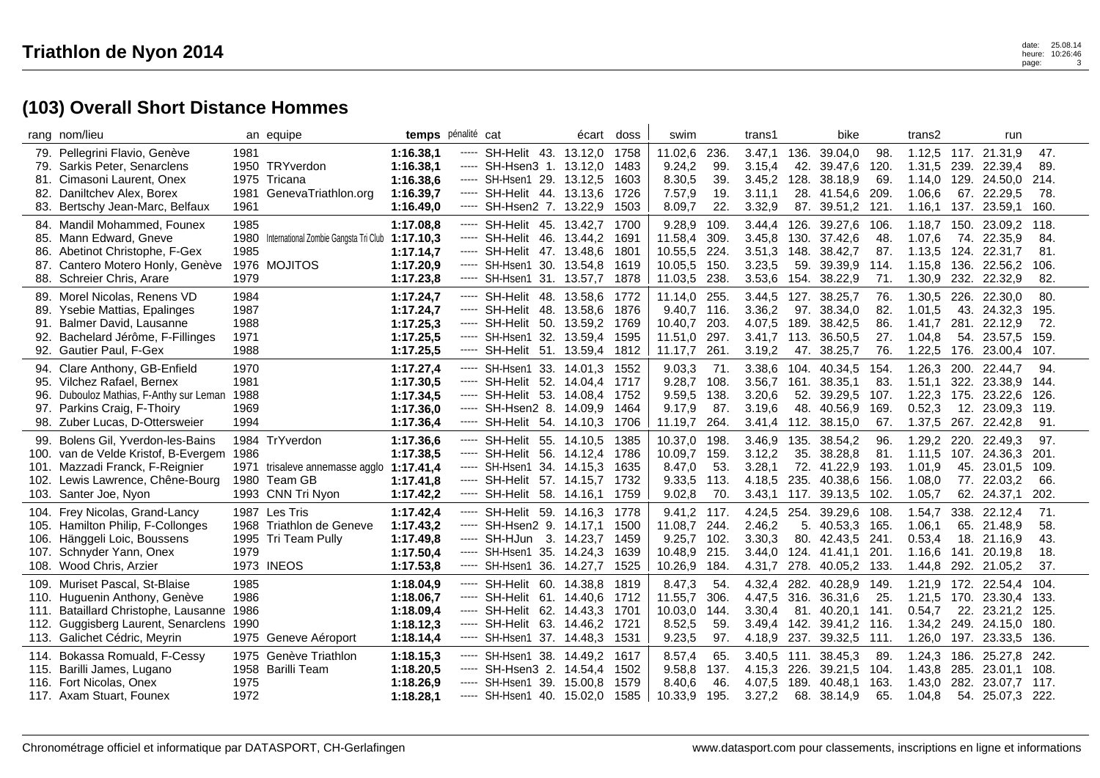|      | rang nom/lieu                             |      | an equipe                             |           | temps pénalité cat                    | écart | doss | swim         |      | trans1 |      | bike             |      | trans2 |      | run                 |        |
|------|-------------------------------------------|------|---------------------------------------|-----------|---------------------------------------|-------|------|--------------|------|--------|------|------------------|------|--------|------|---------------------|--------|
|      | 79. Pellegrini Flavio, Genève             | 1981 |                                       | 1:16.38.1 | SH-Helit 43. 13.12,0 1758<br>-----    |       |      | 11.02,6      | 236. | 3.47,1 | 136. | 39.04,0          | 98.  |        |      | 1.12,5 117. 21.31,9 | 47.    |
|      | 79. Sarkis Peter, Senarclens              |      | 1950 TRYverdon                        | 1:16.38,1 | ----- SH-Hsen3 1. 13.12,0             |       | 1483 | 9.24,2       | 99.  | 3.15,4 | 42.  | 39.47,6          | 120  | 1.31,5 | 239. | 22.39.4             | 89.    |
|      | 81. Cimasoni Laurent, Onex                |      | 1975 Tricana                          | 1:16.38,6 | ----- SH-Hsen1 29. 13.12,5            |       | 1603 | 8.30,5       | 39.  | 3.45,2 | 128. | 38.18,9          | 69   | 1.14,0 |      | 129. 24.50,0        | 214.   |
|      | 82. Daniltchev Alex, Borex                | 1981 | GenevaTriathlon.org                   | 1:16.39.7 | ----- SH-Helit 44. 13.13,6            |       | 1726 | 7.57,9       | 19.  | 3.11.1 |      | 28. 41.54,6      | 209  | 1.06,6 |      | 67. 22.29,5         | 78.    |
|      | 83. Bertschy Jean-Marc, Belfaux           | 1961 |                                       | 1:16.49,0 | ----- SH-Hsen2 7. 13.22,9             |       | 1503 | 8.09,7       | 22.  | 3.32,9 |      | 87. 39.51,2      | 121. | 1.16,1 | 137. | 23.59,1             | 160.   |
|      | 84. Mandil Mohammed, Founex               | 1985 |                                       | 1:17.08,8 | SH-Helit 45. 13.42,7<br>-----         |       | 1700 | 9.28,9       | 109. | 3.44.4 | 126. | 39.27,6          | 106  | 1.18,7 |      | 150. 23.09,2        | 118.   |
|      | 85. Mann Edward, Gneve                    | 1980 | International Zombie Gangsta Tri Club | 1:17.10,3 | ----- SH-Helit 46. 13.44,2            |       | 1691 | 11.58,4      | 309. | 3.45,8 | 130. | 37.42,6          | 48   | 1.07,6 |      | 74. 22.35,9         | 84.    |
| 86.  | Abetinot Christophe, F-Gex                | 1985 |                                       | 1:17.14,7 | SH-Helit 47. 13.48,6<br>$\cdots$      |       | 1801 | 10.55,5      | 224. | 3.51,3 | 148. | 38.42,7          | 87.  | 1.13,5 | 124. | 22.31,7             | 81.    |
| 87.  | Cantero Motero Honly, Genève              |      | 1976 MOJITOS                          | 1:17.20,9 | SH-Hsen1 30. 13.54,8<br>-----         |       | 1619 | 10.05,5      | 150. | 3.23,5 | 59.  | 39.39,9          | 114. | 1.15,8 | 136. | 22.56,2             | 106.   |
|      | 88. Schreier Chris, Arare                 | 1979 |                                       | 1:17.23,8 | ----- SH-Hsen1 31. 13.57,7            |       | 1878 | 11.03,5 238. |      | 3.53,6 |      | 154. 38.22,9     | 71.  | 1.30,9 |      | 232. 22.32,9        | 82.    |
|      | 89. Morel Nicolas, Renens VD              | 1984 |                                       | 1:17.24,7 | SH-Helit 48. 13.58,6<br>-----         |       | 1772 | 11.14,0      | 255. | 3.44,5 | 127. | 38.25,7          | 76.  | 1.30,5 | 226. | 22.30,0             | 80.    |
|      | 89. Ysebie Mattias, Epalinges             | 1987 |                                       | 1:17.24,7 | SH-Helit 48, 13,58,6 1876<br>-----    |       |      | 9.40.7 116.  |      | 3.36,2 |      | 97. 38.34.0      | 82.  | 1.01,5 |      | 43. 24.32.3         | 195.   |
| 91.  | Balmer David, Lausanne                    | 1988 |                                       | 1:17.25,3 | SH-Helit 50. 13.59,2<br>-----         |       | 1769 | 10.40,7      | 203. | 4.07,5 |      | 189. 38.42,5     | 86.  | 1.41,7 |      | 281. 22.12,9        | 72.    |
| 92.  | Bachelard Jérôme, F-Fillinges             | 1971 |                                       | 1:17.25,5 | SH-Hsen1 32. 13.59,4<br>$\cdots$      |       | 1595 | 11.51,0      | 297. | 3.41,7 | 113. | 36.50,5          | 27.  | 1.04,8 | 54.  | 23.57,5             | 159.   |
|      | 92. Gautier Paul, F-Gex                   | 1988 |                                       | 1:17.25,5 | SH-Helit 51. 13.59,4 1812<br>$\cdots$ |       |      | 11.17,7      | 261. | 3.19,2 | 47.  | 38.25,7          | 76.  | 1.22,5 | 176. | 23.00,4             | 107.   |
|      | 94. Clare Anthony, GB-Enfield             | 1970 |                                       | 1:17.27,4 | ----- SH-Hsen1 33. 14.01,3 1552       |       |      | 9.03,3       | 71.  | 3.38,6 |      | 104. 40.34,5     | 154. | 1.26,3 |      | 200, 22,44.7        | 94.    |
|      | 95. Vilchez Rafael, Bernex                | 1981 |                                       | 1:17.30,5 | ----- SH-Helit 52. 14.04,4            |       | 1717 | 9.28,7       | 108. | 3.56,7 | 161. | 38.35,1          | 83.  | 1.51,1 | 322. | 23.38,9             | 144.   |
| 96.  | Dubouloz Mathias, F-Anthy sur Leman       | 1988 |                                       | 1:17.34,5 | ----- SH-Helit 53. 14.08,4 1752       |       |      | 9.59,5 138.  |      | 3.20,6 |      | 52. 39.29,5      | 107. | 1.22,3 | 175. | 23.22.6             | 126.   |
|      | 97. Parkins Craig, F-Thoiry               | 1969 |                                       | 1:17.36,0 | ----- SH-Hsen2 8. 14.09,9             |       | 1464 | 9.17,9       | 87.  | 3.19,6 | 48.  | 40.56,9          | 169  | 0.52,3 | 12.  | 23.09,3             | 119.   |
|      | 98. Zuber Lucas, D-Ottersweier            | 1994 |                                       | 1:17.36,4 | SH-Helit 54. 14.10,3<br>$\cdots$      |       | 1706 | 11.19,7      | 264. | 3.41,4 |      | 112. 38.15,0     | 67.  | 1.37,5 | 267. | 22.42,8             | 91.    |
|      | 99. Bolens Gil, Yverdon-les-Bains         |      | 1984 TrYverdon                        | 1:17.36,6 | SH-Helit 55. 14.10,5<br>-----         |       | 1385 | 10.37,0      | 198. | 3.46,9 | 135. | 38.54,2          | 96.  | 1.29.2 |      | 220. 22.49.3        | 97.    |
|      | 100. van de Velde Kristof, B-Evergem 1986 |      |                                       | 1:17.38,5 | ----- SH-Helit 56. 14.12,4            |       | 1786 | 10.09,7      | 159. | 3.12,2 | 35.  | 38.28,8          | 81.  | 1.11,5 |      | 107. 24.36,3        | 201.   |
|      | 101. Mazzadi Franck, F-Reignier           | 1971 | trisaleve annemasse agglo 1:17.41,4   |           | $---$ SH-Hsen1 34. 14.15,3            |       | 1635 | 8.47,0       | 53.  | 3.28,1 | 72.  | 41.22,9          | 193  | 1.01,9 | 45.  | 23.01,5             | 109.   |
|      | 102. Lewis Lawrence, Chêne-Bourg          |      | 1980 Team GB                          | 1:17.41,8 | ----- SH-Helit 57. 14.15,7            |       | 1732 | 9.33,5 113.  |      | 4.18.5 | 235. | 40.38,6          | 156  | 1.08,0 |      | 77. 22.03,2         | 66.    |
|      | 103. Santer Joe, Nyon                     |      | 1993 CNN Tri Nyon                     | 1:17.42,2 | SH-Helit 58. 14.16,1<br>-----         |       | 1759 | 9.02,8       | 70.  | 3.43,1 |      | 117. 39.13,5     | 102  | 1.05,7 |      | 62. 24.37,1         | 202.   |
|      | 104. Frey Nicolas, Grand-Lancy            |      | 1987 Les Tris                         | 1:17.42,4 | SH-Helit 59. 14.16,3<br>-----         |       | 1778 | 9.41,2 117.  |      | 4.24,5 | 254. | 39.29,6          | 108  | 1.54,7 | 338. | 22.12,4             | 71.    |
|      | 105. Hamilton Philip, F-Collonges         |      | 1968 Triathlon de Geneve              | 1:17.43.2 | SH-Hsen2 9. 14.17,1<br>-----          |       | 1500 | 11.08,7      | 244. | 2.46,2 |      | 5. 40.53,3       | 165  | 1.06,1 |      | 65. 21.48,9         | 58.    |
|      | 106. Hänggeli Loic, Boussens              |      | 1995 Tri Team Pully                   | 1:17.49,8 | ----- SH-HJun 3. 14.23,7              |       | 1459 | 9.25,7       | 102. | 3.30,3 |      | 80. 42.43,5 241. |      | 0.53,4 |      | 18. 21.16,9         | 43.    |
| 107. | Schnyder Yann, Onex                       | 1979 |                                       | 1:17.50,4 | SH-Hsen1 35. 14.24,3<br>$\cdots$      |       | 1639 | 10.48,9      | 215. | 3.44.0 | 124. | 41.41,1          | 201  | 1.16,6 | 141. | 20.19,8             | 18.    |
|      | 108. Wood Chris, Arzier                   |      | <b>1973 INEOS</b>                     | 1:17.53,8 | SH-Hsen1 36. 14.27,7<br>$\cdots$      |       | 1525 | 10.26,9 184. |      | 4.31,7 | 278. | 40.05,2          | 133. | 1.44,8 | 292. | 21.05,2             | 37.    |
|      | 109. Muriset Pascal, St-Blaise            | 1985 |                                       | 1:18.04,9 | ----- SH-Helit 60. 14.38,8            |       | 1819 | 8.47,3       | 54.  | 4.32,4 | 282. | 40.28,9          | 149  | 1.21,9 |      | 172. 22.54,4        | 104.   |
|      | 110. Huguenin Anthony, Genève             | 1986 |                                       | 1:18.06,7 | ----- SH-Helit 61, 14.40.6 1712       |       |      | 11.55,7      | 306. | 4.47,5 | 316. | 36.31,6          | 25.  | 1.21,5 | 170. | 23.30.4             | 133.   |
|      | 111. Bataillard Christophe, Lausanne      | 1986 |                                       | 1:18.09,4 | ----- SH-Helit 62. 14.43,3 1701       |       |      | 10.03,0 144. |      | 3.30,4 |      | 81. 40.20,1      | 141. | 0.54,7 |      | 22. 23.21,2         | - 125. |
|      | 112. Guggisberg Laurent, Senarclens 1990  |      |                                       | 1:18.12,3 | ----- SH-Helit 63. 14.46,2 1721       |       |      | 8.52,5       | 59.  | 3.49,4 |      | 142. 39.41,2     | 116  | 1.34,2 |      | 249. 24.15,0        | 180.   |
|      | 113. Galichet Cédric, Meyrin              |      | 1975 Geneve Aéroport                  | 1:18.14,4 | SH-Hsen1 37. 14.48,3<br>$\cdots$      |       | 1531 | 9.23,5       | 97.  | 4.18,9 | 237. | 39.32,5          | 111. | 1.26,0 | 197. | 23.33,5             | 136.   |
|      | 114. Bokassa Romuald, F-Cessy             |      | 1975 Genève Triathlon                 | 1:18.15,3 | ----- SH-Hsen1 38. 14.49,2            |       | 1617 | 8.57,4       | 65.  | 3.40.5 | 111. | 38.45.3          | 89   | 1.24,3 | 186. | 25.27,8             | 242.   |
|      | 115. Barilli James, Lugano                |      | 1958 Barilli Team                     | 1:18.20,5 | ----- SH-Hsen3 2. 14.54,4             |       | 1502 | 9.58,8       | 137. | 4.15,3 | 226. | 39.21,5          | 104. | 1.43,8 | 285. | 23.01,1             | 108.   |
|      | 116. Fort Nicolas, Onex                   | 1975 |                                       | 1:18.26,9 | ----- SH-Hsen1 39. 15.00,8            |       | 1579 | 8.40,6       | 46.  | 4.07.5 | 189. | 40.48,1          | 163  | 1.43,0 | 282. | 23.07,7             | 117.   |
|      | 117. Axam Stuart, Founex                  | 1972 |                                       | 1:18.28,1 | ----- SH-Hsen1 40. 15.02,0 1585       |       |      | 10.33,9      | 195. | 3.27,2 | 68.  | 38.14,9          | 65.  | 1.04,8 |      | 54. 25.07,3         | - 222. |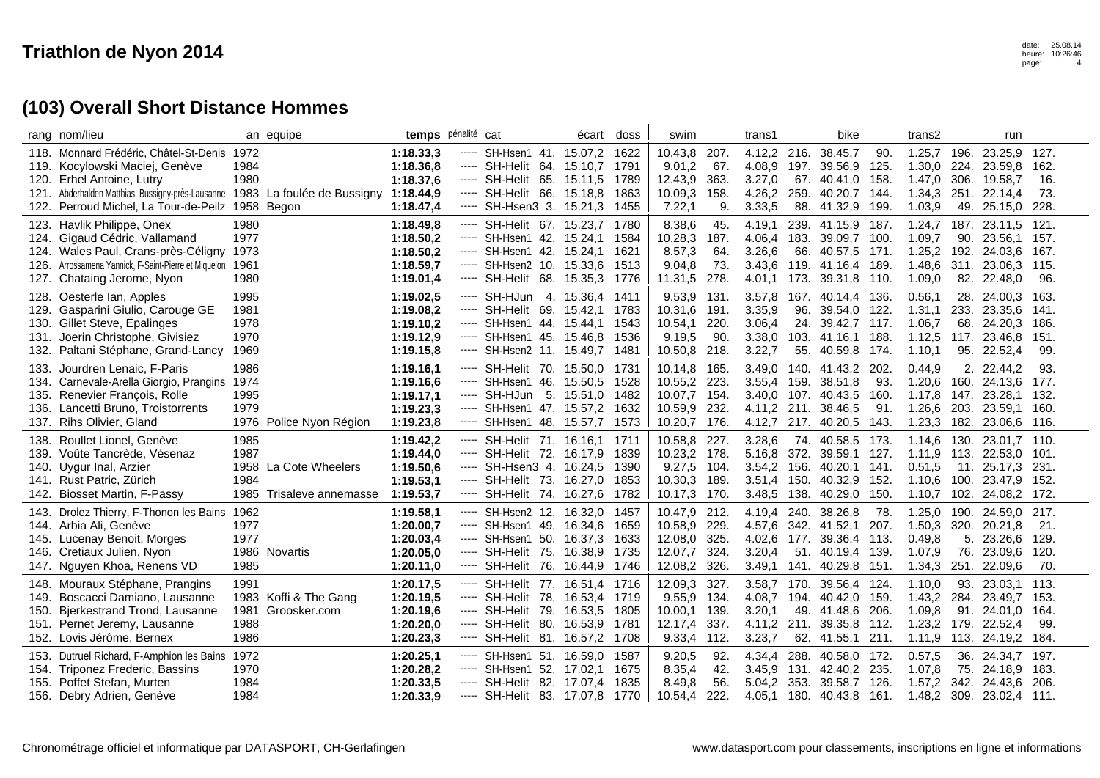|      | rang nom/lieu                                        |      | an equipe                  | temps pénalité cat |          |                                 | écart   | doss | swim         |      | trans1 |      | bike              |      | trans2  |      | run                      |       |
|------|------------------------------------------------------|------|----------------------------|--------------------|----------|---------------------------------|---------|------|--------------|------|--------|------|-------------------|------|---------|------|--------------------------|-------|
|      | 118. Monnard Frédéric, Châtel-St-Denis 1972          |      |                            | 1:18.33,3          | -----    | SH-Hsen1 41. 15.07,2            |         | 1622 | 10.43,8      | 207. | 4.12,2 | 216. | 38.45,7           | 90.  |         |      | 1.25,7 196. 23.25,9      | 127.  |
|      | 119. Kocylowski Maciej, Genève                       | 1984 |                            | 1:18.36,8          | $\cdots$ | SH-Helit 64. 15.10,7            |         | 1791 | 9.01,2       | 67.  | 4.08,9 | 197. | 39.56,9           | 125. | 1.30,0  | 224. | 23.59,8                  | 162.  |
|      | 120. Erhel Antoine, Lutry                            | 1980 |                            | 1:18.37,6          |          | ----- SH-Helit 65. 15.11,5      |         | 1789 | 12.43,9      | 363. | 3.27,0 |      | 67. 40.41,0       | 158. | 1.47,0  | 306. | 19.58,7                  | 16.   |
|      | 121. Abderhalden Matthias, Bussigny-près-Lausanne    |      | 1983 La foulée de Bussigny | 1:18.44,9          |          | SH-Helit 66. 15.18,8            |         | 1863 | 10.09,3      | 158. | 4.26,2 | 259. | 40.20.7           | 144  | 1.34,3  |      | 251. 22.14,4             | 73.   |
|      | 122. Perroud Michel, La Tour-de-Peilz                |      | 1958 Begon                 | 1:18.47,4          |          | SH-Hsen3 3. 15.21,3             |         | 1455 | 7.22,1       | 9.   | 3.33,5 | 88.  | 41.32,9           | 199  | 1.03,9  | 49.  | 25.15,0                  | 228.  |
|      | 123. Havlik Philippe, Onex                           | 1980 |                            | 1:18.49.8          | -----    | SH-Helit 67. 15.23,7            |         | 1780 | 8.38,6       | 45.  | 4.19.1 |      | 239. 41.15,9      | 187. | 1.24,7  |      | 187. 23.11,5             | 121.  |
|      | 124. Gigaud Cédric, Vallamand                        | 1977 |                            | 1:18.50,2          |          | ----- SH-Hsen1 42. 15.24,1      |         | 1584 | 10.28,3      | 187. | 4.06,4 |      | 183. 39.09,7      | 100  | 1.09,7  | 90.  | 23.56,1 157.             |       |
|      | 124. Wales Paul, Crans-près-Céligny                  | 1973 |                            | 1:18.50,2          | -----    | SH-Hsen1 42. 15.24,1            |         | 1621 | 8.57,3       | 64.  | 3.26,6 | 66.  | 40.57,5           | 171  | 1.25,2  | 192. | 24.03.6                  | 167.  |
|      | 126. Arrossamena Yannick, F-Saint-Pierre et Miquelon | 1961 |                            | 1:18.59,7          |          | SH-Hsen2 10. 15.33,6            |         | 1513 | 9.04,8       | 73.  | 3.43,6 | 119. | 41.16,4           | 189. | 1.48,6  | 311. | 23.06,3                  | 115.  |
|      | 127. Chataing Jerome, Nyon                           | 1980 |                            | 1:19.01,4          | $\cdots$ | SH-Helit 68. 15.35,3            |         | 1776 | 11.31,5      | 278. | 4.01,1 |      | 173. 39.31,8 110. |      | 1.09,0  |      | 82. 22.48,0              | 96.   |
| 128. | Oesterle Ian, Apples                                 | 1995 |                            | 1:19.02.5          | -----    | SH-HJun 4, 15,36.4              |         | 1411 | 9.53,9       | 131. | 3.57,8 | 167. | 40.14.4           | 136. | 0.56, 1 | 28.  | 24.00.3                  | 163.  |
|      | 129. Gasparini Giulio, Carouge GE                    | 1981 |                            | 1:19.08,2          |          | ----- SH-Helit 69, 15.42.1      |         | 1783 | 10.31,6      | 191. | 3.35,9 |      | 96. 39.54,0       | 122. | 1.31,1  |      | 233. 23.35.6             | -141. |
|      | 130. Gillet Steve, Epalinges                         | 1978 |                            | 1:19.10,2          |          | ----- SH-Hsen1 44. 15.44,1      |         | 1543 | 10.54,1      | 220. | 3.06,4 |      | 24. 39.42,7 117.  |      | 1.06,7  |      | 68. 24.20,3              | 186.  |
| 131. | Joerin Christophe, Givisiez                          | 1970 |                            | 1:19.12,9          | -----    | SH-Hsen1 45. 15.46,8            |         | 1536 | 9.19,5       | 90.  | 3.38,0 |      | 103. 41.16.1      | 188. | 1.12,5  | 117. | 23.46.8                  | 151.  |
|      | 132. Paltani Stéphane, Grand-Lancy                   | 1969 |                            | 1:19.15,8          |          | ----- SH-Hsen2 11. 15.49,7      |         | 1481 | 10.50,8      | 218. | 3.22,7 | 55.  | 40.59,8 174.      |      | 1.10,1  |      | 95. 22.52,4              | 99.   |
|      | 133. Jourdren Lenaic, F-Paris                        | 1986 |                            | 1:19.16,1          | -----    | SH-Helit 70, 15,50,0 1731       |         |      | 10.14,8      | 165. | 3.49,0 |      | 140. 41.43,2 202. |      | 0.44,9  |      | 2. 22.44.2               | 93.   |
|      | 134. Carnevale-Arella Giorgio, Prangins              | 1974 |                            | 1:19.16.6          |          | SH-Hsen1 46.                    | 15.50,5 | 1528 | 10.55,2      | 223. | 3.55,4 | 159. | 38.51,8           | 93.  | 1.20,6  | 160. | 24.13,6                  | 177.  |
|      | 135. Renevier François, Rolle                        | 1995 |                            | 1:19.17,1          |          | ----- SH-HJun 5. 15.51,0        |         | 1482 | 10.07,7      | 154. | 3,40.0 |      | 107. 40.43,5      | 160. |         |      | 1.17,8 147. 23.28,1 132. |       |
|      | 136. Lancetti Bruno, Troistorrents                   | 1979 |                            | 1:19.23,3          |          | ----- SH-Hsen1 47. 15.57,2      |         | 1632 | 10.59,9      | 232. | 4.11,2 |      | 211. 38.46,5      | 91.  | 1.26,6  | 203. | 23.59.1                  | 160.  |
|      | 137. Rihs Olivier, Gland                             |      | 1976 Police Nyon Région    | 1:19.23,8          |          | ----- SH-Hsen1 48. 15.57,7      |         | 1573 | 10.20,7      | 176. | 4.12,7 |      | 217. 40.20,5      | 143. | 1.23,3  | 182. | 23.06,6 116.             |       |
| 138. | Roullet Lionel, Genève                               | 1985 |                            | 1:19.42,2          | -----    | SH-Helit 71. 16.16,1            |         | 1711 | 10.58,8 227. |      | 3.28,6 |      | 74. 40.58,5       | 173. |         |      | 1.14,6 130. 23.01,7 110. |       |
|      | 139. Voûte Tancrède, Vésenaz                         | 1987 |                            | 1:19.44,0          | -----    | SH-Helit 72. 16.17,9            |         | 1839 | 10.23,2      | 178. | 5.16,8 |      | 372. 39.59,1      | 127. |         |      | 1.11,9 113. 22.53,0 101. |       |
|      | 140. Uygur Inal, Arzier                              |      | 1958 La Cote Wheelers      | 1:19.50,6          |          | ----- SH-Hsen3 4. 16.24,5       |         | 1390 | 9.27,5       | 104. | 3.54,2 | 156. | 40.20,1           | 141  | 0.51,5  | 11.  | 25.17,3                  | 231.  |
|      | 141. Rust Patric, Zürich                             | 1984 |                            | 1:19.53,1          | -----    | SH-Helit 73. 16.27,0            |         | 1853 | 10.30,3      | 189. | 3.51,4 | 150. | 40.32.9           | 152. | 1.10,6  | 100. | 23.47.9                  | 152.  |
|      | 142. Biosset Martin, F-Passy                         |      | 1985 Trisaleve annemasse   | 1:19.53,7          | -----    | SH-Helit 74. 16.27,6            |         | 1782 | 10.17,3      | 170. | 3.48,5 |      | 138. 40.29,0      | 150. |         |      | 1.10.7 102. 24.08.2 172. |       |
|      | 143. Drolez Thierry, F-Thonon les Bains              | 1962 |                            | 1:19.58,1          | -----    | SH-Hsen2 12, 16.32.0            |         | 1457 | 10.47,9      | 212. | 4.19.4 | 240. | 38.26,8           | 78.  | 1.25,0  | 190. | 24.59.0                  | 217.  |
|      | 144. Arbia Ali, Genève                               | 1977 |                            | 1:20.00,7          | -----    | SH-Hsen1 49. 16.34,6            |         | 1659 | 10.58,9 229. |      | 4.57,6 |      | 342. 41.52,1      | 207. |         |      | 1.50,3 320. 20.21,8      | 21.   |
|      | 145. Lucenay Benoit, Morges                          | 1977 |                            | 1:20.03,4          |          | ----- SH-Hsen1 50. 16.37,3      |         | 1633 | 12.08,0      | 325. | 4.02,6 |      | 177. 39.36,4 113. |      | 0.49,8  | 5.   | 23.26.6                  | 129.  |
|      | 146. Cretiaux Julien, Nyon                           |      | 1986 Novartis              | 1:20.05,0          |          | ----- SH-Helit 75. 16.38,9      |         | 1735 | 12.07,7      | 324. | 3.20,4 | 51.  | 40.19,4 139.      |      | 1.07,9  | 76.  | 23.09.6                  | 120.  |
|      | 147. Nguyen Khoa, Renens VD                          | 1985 |                            | 1:20.11.0          | -----    | SH-Helit 76. 16.44,9 1746       |         |      | 12.08,2      | 326. | 3.49,1 |      | 141. 40.29,8 151. |      | 1.34,3  | 251. | 22.09.6                  | 70.   |
|      | 148. Mouraux Stéphane, Prangins                      | 1991 |                            | 1:20.17,5          |          | ----- SH-Helit 77. 16.51,4 1716 |         |      | 12.09,3      | 327. | 3.58,7 | 170. | 39.56,4 124.      |      | 1.10,0  |      | 93. 23.03,1 113.         |       |
| 149. | Boscacci Damiano, Lausanne                           |      | 1983 Koffi & The Gang      | 1:20.19,5          |          | SH-Helit 78. 16.53,4 1719       |         |      | 9.55,9       | 134. | 4.08,7 | 194. | 40.42,0           | 159. | 1.43,2  | 284. | 23.49,7                  | 153.  |
| 150. | Bjerkestrand Trond, Lausanne                         | 1981 | Groosker.com               | 1:20.19,6          | $\cdots$ | SH-Helit 79. 16.53,5 1805       |         |      | 10.00,1      | 139. | 3.20,1 |      | 49. 41.48,6       | 206. | 1.09,8  | 91.  | 24.01.0                  | 164.  |
|      | 151. Pernet Jeremy, Lausanne                         | 1988 |                            | 1:20.20,0          |          | ----- SH-Helit 80. 16.53,9      |         | 1781 | 12.17,4      | 337. | 4.11,2 |      | 211. 39.35,8 112. |      | 1.23,2  | 179. | 22.52,4                  | 99.   |
|      | 152. Lovis Jérôme, Bernex                            | 1986 |                            | 1:20.23,3          | $\cdots$ | SH-Helit 81. 16.57,2            |         | 1708 | 9.33,4       | 112. | 3.23,7 |      | 62. 41.55,1       | 211. | 1.11,9  | 113. | 24.19,2                  | 184.  |
|      | 153. Dutruel Richard, F-Amphion les Bains            | 1972 |                            | 1:20.25,1          | -----    | SH-Hsen1 51, 16.59.0            |         | 1587 | 9.20,5       | 92.  | 4.34.4 | 288. | 40.58.0 172.      |      | 0.57,5  | 36.  | 24.34.7                  | 197.  |
|      | 154. Triponez Frederic, Bassins                      | 1970 |                            | 1:20.28,2          |          | SH-Hsen1 52. 17.02,1            |         | 1675 | 8.35,4       | 42.  | 3.45,9 |      | 131. 42.40,2 235. |      | 1.07,8  |      | 75. 24.18,9              | 183.  |
|      | 155. Poffet Stefan, Murten                           | 1984 |                            | 1:20.33,5          |          | SH-Helit 82. 17.07,4            |         | 1835 | 8.49,8       | 56.  | 5.04,2 | 353. | 39.58,7           | 126. | 1.57,2  | 342. | 24.43.6                  | 206.  |
|      | 156. Debry Adrien, Genève                            | 1984 |                            | 1:20.33,9          |          | ----- SH-Helit 83. 17.07,8      |         | 1770 | 10.54,4      | 222. | 4.05,1 | 180. | 40.43,8           | 161. | 1.48,2  | 309. | 23.02,4 111.             |       |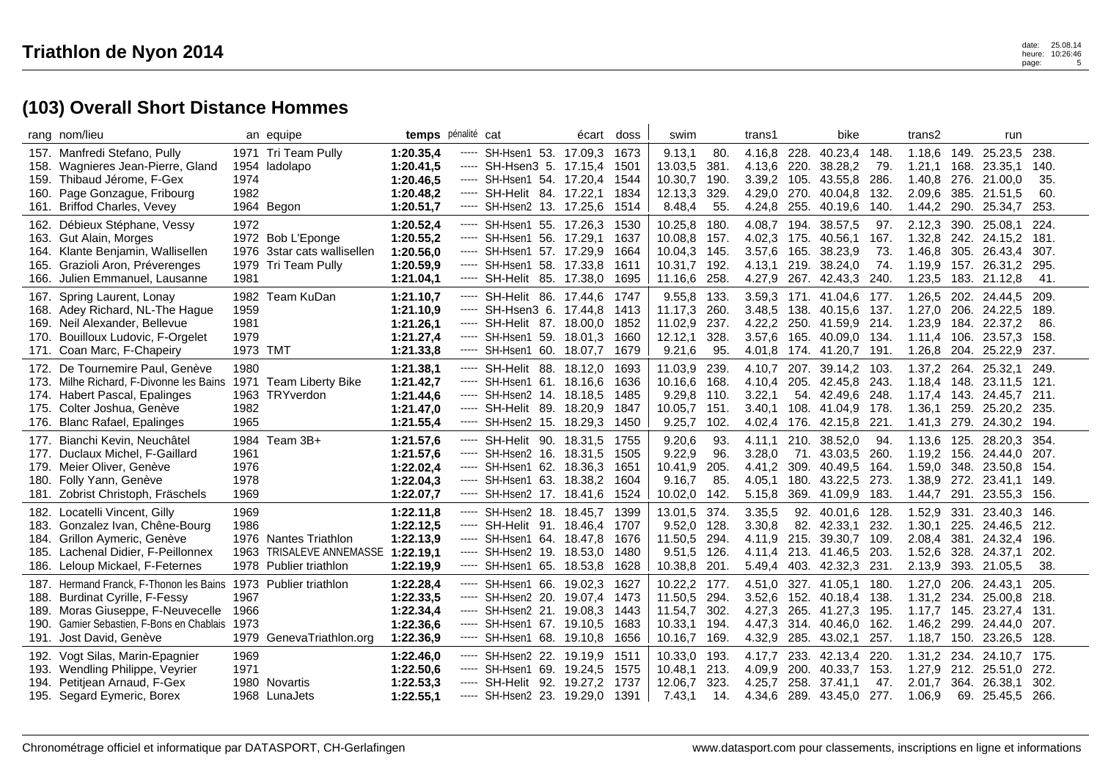| rang nom/lieu                                                                                                                                                                             | an equipe                                                                                   |                                                               | temps pénalité cat                                                                                                                                                                                                                                                                                                                                                                                                                                                                                                                                                                                                                        | écart doss  |                                      | swim                                                                      |                                      | trans1                                         |                              | bike                                                               |                                   | trans2                                                     |                                      | run                                                           |                                       |
|-------------------------------------------------------------------------------------------------------------------------------------------------------------------------------------------|---------------------------------------------------------------------------------------------|---------------------------------------------------------------|-------------------------------------------------------------------------------------------------------------------------------------------------------------------------------------------------------------------------------------------------------------------------------------------------------------------------------------------------------------------------------------------------------------------------------------------------------------------------------------------------------------------------------------------------------------------------------------------------------------------------------------------|-------------|--------------------------------------|---------------------------------------------------------------------------|--------------------------------------|------------------------------------------------|------------------------------|--------------------------------------------------------------------|-----------------------------------|------------------------------------------------------------|--------------------------------------|---------------------------------------------------------------|---------------------------------------|
| 157. Manfredi Stefano, Pully<br>158. Wagnieres Jean-Pierre, Gland<br>159. Thibaud Jérome, F-Gex<br>160. Page Gonzague, Fribourg<br><b>Briffod Charles, Vevey</b><br>161.                  | 1971 Tri Team Pully<br>1954 ladolapo<br>1974<br>1982<br>1964 Begon                          | 1:20.35,4<br>1:20.41,5<br>1:20.46,5<br>1:20.48,2<br>1:20.51,7 | ----- SH-Hsen1 53. 17.09.3<br>----- SH-Hsen3 5. 17.15,4<br>----- SH-Hsen1 54. 17.20,4<br>----- SH-Helit 84. 17.22,1<br>SH-Hsen2 13. 17.25,6<br>$\begin{array}{cccccccccc} \multicolumn{2}{c}{} & \multicolumn{2}{c}{} & \multicolumn{2}{c}{} & \multicolumn{2}{c}{} & \multicolumn{2}{c}{} & \multicolumn{2}{c}{} & \multicolumn{2}{c}{} & \multicolumn{2}{c}{} & \multicolumn{2}{c}{} & \multicolumn{2}{c}{} & \multicolumn{2}{c}{} & \multicolumn{2}{c}{} & \multicolumn{2}{c}{} & \multicolumn{2}{c}{} & \multicolumn{2}{c}{} & \multicolumn{2}{c}{} & \multicolumn{2}{c}{} & \multicolumn{2}{c}{} & \multicolumn{2}{c}{} & \mult$     |             | 1673<br>1501<br>1544<br>1834<br>1514 | 9.13,1<br>13.03,5<br>10.30,7<br>12.13,3<br>8.48,4                         | 80.<br>381.<br>190.<br>329.<br>55.   | 4.16.8<br>4.13,6<br>3.39,2<br>4.29,0<br>4.24,8 | 228.<br>220.<br>270.<br>255. | 40.23,4<br>38.28,2<br>105. 43.55,8<br>40.04,8<br>40.19,6           | 148<br>79<br>286<br>132<br>140    | 1.18,6<br>1.21,1<br>1.40.8<br>2.09,6<br>1.44,2             | 149.<br>168.<br>276.<br>385.<br>290. | 25.23,5<br>23.35,1<br>21.00.0<br>21.51,5<br>25.34,7           | 238.<br>140.<br>35.<br>60.<br>253.    |
| 162. Débieux Stéphane, Vessy<br>163. Gut Alain, Morges<br>164. Klante Benjamin, Wallisellen<br>165. Grazioli Aron, Préverenges<br>166. Julien Emmanuel, Lausanne                          | 1972<br>1972 Bob L'Eponge<br>1976<br>3star cats wallisellen<br>1979 Tri Team Pully<br>1981  | 1:20.52,4<br>1:20.55,2<br>1:20.56,0<br>1:20.59.9<br>1:21.04,1 | SH-Hsen1 55. 17.26,3<br>-----<br>SH-Hsen1 56. 17.29,1<br>-----<br>----- SH-Hsen1 57. 17.29,9 1664<br>----- SH-Hsen1 58, 17.33.8<br>----- SH-Helit 85. 17.38,0                                                                                                                                                                                                                                                                                                                                                                                                                                                                             |             | 1530<br>1637<br>1611<br>1695         | 10.25,8<br>10.08,8<br>10.04,3 145.<br>10.31.7<br>11.16,6 258.             | 180.<br>157.<br>192.                 | 4.08,7<br>4.02,3<br>3.57,6<br>4.13.1<br>4.27,9 | 194.<br>175.<br>165.<br>219. | 38.57,5<br>40.56,1<br>38.23,9<br>38.24.0<br>267. 42.43,3           | 97.<br>167.<br>73.<br>74.<br>240. | 2.12,3<br>1.32,8<br>1.46,8<br>1.19,9<br>1.23,5             | 390.<br>242.<br>305.                 | 25.08,1<br>24.15,2<br>26.43,4<br>157. 26.31.2<br>183. 21.12,8 | 224.<br>.181<br>307.<br>295.<br>41.   |
| Spring Laurent, Lonay<br>167.<br>168. Adey Richard, NL-The Hague<br>169. Neil Alexander, Bellevue<br>170. Bouilloux Ludovic, F-Orgelet<br>171. Coan Marc, F-Chapeiry                      | 1982 Team KuDan<br>1959<br>1981<br>1979<br>1973 TMT                                         | 1:21.10,7<br>1:21.10,9<br>1:21.26,1<br>1:21.27,4<br>1:21.33,8 | SH-Helit 86, 17,44.6 1747<br>-----<br>----- SH-Hsen3 6. 17.44.8<br>----- SH-Helit 87. 18.00,0<br>----- SH-Hsen1 59. 18.01,3<br>SH-Hsen1 60. 18.07,7<br>-----                                                                                                                                                                                                                                                                                                                                                                                                                                                                              |             | 1413<br>1852<br>1660<br>1679         | 9.55,8 133.<br>11.17,3<br>11.02,9<br>12.12,1<br>9.21,6                    | 260.<br>237.<br>328.<br>95.          | 3.59.3<br>3.48.5<br>4.22,2<br>3.57,6<br>4.01,8 | 138.<br>250.<br>165.<br>174. | 171. 41.04.6 177.<br>40.15,6<br>41.59,9<br>40.09,0 134.<br>41.20,7 | 137.<br>214<br>191                | 1.26.5<br>1.27,0<br>1.23,9<br>1.11,4<br>1.26, 8            | 206.<br>184.<br>106.<br>204.         | 202. 24.44.5<br>24.22,5<br>22,37.2<br>23.57,3<br>25.22,9      | 209.<br>189.<br>86.<br>158.<br>237.   |
| 172. De Tournemire Paul, Genève<br>173. Milhe Richard, F-Divonne les Bains<br>174. Habert Pascal, Epalinges<br>175. Colter Joshua, Genève<br>176. Blanc Rafael, Epalinges                 | 1980<br>1971 Team Liberty Bike<br>1963 TRYverdon<br>1982<br>1965                            | 1:21.38,1<br>1:21.42,7<br>1:21.44,6<br>1:21.47,0<br>1:21.55,4 | ----- SH-Helit 88. 18.12.0<br>----- SH-Hsen1 61. 18.16,6<br>SH-Hsen2 14. 18.18,5<br>$\cdots$<br>SH-Helit 89. 18.20,9<br>-----<br>SH-Hsen2 15. 18.29,3<br>-----                                                                                                                                                                                                                                                                                                                                                                                                                                                                            |             | 1693<br>1636<br>1485<br>1847<br>1450 | 11.03,9<br>10.16,6<br>9.29,8<br>10.05,7<br>9.25,7                         | 239.<br>168.<br>110.<br>151.<br>102. | 4.10.7<br>4.10,4<br>3.22,1<br>3.40,1<br>4.02,4 | 54.<br>108.                  | 207. 39.14,2<br>205. 42.45,8<br>42.49,6<br>41.04,9<br>176. 42.15,8 | 103<br>243<br>248<br>178<br>221   | 1.37,2<br>1.18,4 148.<br>$1.17,4$ 143.<br>1.36,1<br>1.41,3 | 264.<br>259.<br>279.                 | 25.32.1<br>23.11,5<br>24.45.7<br>25.20,2<br>24.30,2           | 249.<br>121.<br>211.<br>235.<br>194.  |
| Bianchi Kevin, Neuchâtel<br>177.<br>177. Duclaux Michel. F-Gaillard<br>179. Meier Oliver, Genève<br>180. Folly Yann, Genève<br>181. Zobrist Christoph, Fräschels                          | 1984 Team 3B+<br>1961<br>1976<br>1978<br>1969                                               | 1:21.57,6<br>1:21.57,6<br>1:22.02,4<br>1:22.04,3<br>1:22.07,7 | SH-Helit 90. 18.31,5<br>-----<br>----- SH-Hsen2 16. 18.31.5<br>----- SH-Hsen1 62. 18.36,3<br>SH-Hsen1 63. 18.38,2<br>$\begin{array}{cccccccccc} \multicolumn{2}{c}{} & \multicolumn{2}{c}{} & \multicolumn{2}{c}{} & \multicolumn{2}{c}{} & \multicolumn{2}{c}{} & \multicolumn{2}{c}{} & \multicolumn{2}{c}{} & \multicolumn{2}{c}{} & \multicolumn{2}{c}{} & \multicolumn{2}{c}{} & \multicolumn{2}{c}{} & \multicolumn{2}{c}{} & \multicolumn{2}{c}{} & \multicolumn{2}{c}{} & \multicolumn{2}{c}{} & \multicolumn{2}{c}{} & \multicolumn{2}{c}{} & \multicolumn{2}{c}{} & \multicolumn{2}{c}{} & \mult$<br>----- SH-Hsen2 17. 18.41,6 |             | 1755<br>1505<br>1651<br>1604<br>1524 | 9.20,6<br>9.22,9<br>10.41,9<br>9.16,7<br>10.02,0                          | 93.<br>96.<br>205.<br>85.<br>142.    | 4.11.1<br>3.28.0<br>4.41,2<br>4.05,1<br>5.15,8 | 210.<br>309.<br>180.<br>369. | 38.52,0<br>71. 43.03,5<br>40.49,5<br>43.22,5<br>41.09,9            | 94<br>260<br>164<br>273<br>183    | 1.13.6<br>1.19,2<br>1.59,0<br>1.38,9<br>1.44,7             | 125.<br>348.<br>272.<br>291.         | 28.20.3<br>156, 24,44,0<br>23.50,8<br>23.41.1<br>23.55,3      | 354.<br>207.<br>154.<br>149.<br>156.  |
| 182. Locatelli Vincent, Gilly<br>183. Gonzalez Ivan, Chêne-Bourg<br>184. Grillon Aymeric, Genève<br>185. Lachenal Didier, F-Peillonnex<br>186. Leloup Mickael, F-Feternes                 | 1969<br>1986<br>1976 Nantes Triathlon<br>1963 TRISALEVE ANNEMASSE<br>1978 Publier triathlon | 1:22.11,8<br>1:22.12,5<br>1:22.13,9<br>1:22.19,1<br>1:22.19,9 | SH-Hsen2 18. 18.45,7<br>-----<br>SH-Helit 91. 18.46,4<br>-----<br>----- SH-Hsen1 64. 18.47,8<br>----- SH-Hsen2 19. 18.53,0<br>SH-Hsen1 65, 18.53.8<br>-----                                                                                                                                                                                                                                                                                                                                                                                                                                                                               |             | 1399<br>1707<br>1676<br>1480<br>1628 | 13.01,5 374.<br>$9.52,0$ 128.<br>11.50,5 294.<br>$9.51,5$ 126.<br>10.38,8 | 201.                                 | 3.35,5<br>3.30,8<br>4.11,9<br>4.11,4<br>5.49,4 | 92.<br>82.<br>403.           | 40.01,6<br>42.33,1<br>215. 39.30,7<br>213. 41.46,5<br>42.32,3      | 128<br>232<br>109<br>203<br>231.  | 1.52,9<br>1.30,1<br>2.08,4<br>1.52,6<br>2.13,9             | 331.<br>225.<br>328.                 | 23.40.3<br>24.46,5<br>381. 24.32,4<br>24.37,1<br>393. 21.05,5 | 146.<br>212.<br>196.<br>202.<br>38.   |
| 187. Hermand Franck, F-Thonon les Bains<br>188. Burdinat Cyrille, F-Fessy<br>189. Moras Giuseppe, F-Neuvecelle<br>Gamier Sebastien, F-Bons en Chablais<br>190.<br>191. Jost David, Genève | 1973 Publier triathlon<br>1967<br>1966<br>1973<br>1979<br>GenevaTriathlon.org               | 1:22.28,4<br>1:22.33,5<br>1:22.34,4<br>1:22.36,6<br>1:22.36,9 | SH-Hsen1 66, 19.02.3<br>-----<br>SH-Hsen2 20. 19.07,4<br>-----<br>SH-Hsen2 21. 19.08,3<br>-----<br>----- SH-Hsen1 67. 19.10,5<br>SH-Hsen1 68. 19.10,8<br>-----                                                                                                                                                                                                                                                                                                                                                                                                                                                                            |             | 1627<br>1473<br>1443<br>1683<br>1656 | 10.22,2<br>11.50,5<br>11.54.7<br>10.33,1 194.<br>10.16,7                  | 177.<br>294.<br>302.<br>169.         | 4.51,0<br>3.52,6<br>4.27,3<br>4.47,3<br>4.32,9 | 152.<br>265.<br>314.<br>285. | 327. 41.05,1<br>40.18,4<br>41.27,3<br>40.46,0<br>43.02,1           | 180<br>138<br>195<br>162<br>257.  | 1.27,0<br>1.31,2<br>1.17,7<br>1.46,2<br>1.18,7             | 206.<br>234.<br>145.<br>299.<br>150. | 24.43.1<br>25.00,8<br>23.27,4<br>24.44,0<br>23.26,5           | 205.<br>218.<br>-131.<br>207.<br>128. |
| Vogt Silas, Marin-Epagnier<br>192.<br>193. Wendling Philippe, Veyrier<br>194. Petitjean Arnaud, F-Gex<br>195. Segard Eymeric, Borex                                                       | 1969<br>1971<br>1980 Novartis<br>1968 LunaJets                                              | 1:22.46,0<br>1:22.50,6<br>1:22.53,3<br>1:22.55,1              | SH-Hsen2 22. 19.19.9<br>-----<br>----- SH-Hsen1 69. 19.24,5<br>SH-Helit<br>-----<br>----- SH-Hsen2 23. 19.29,0 1391                                                                                                                                                                                                                                                                                                                                                                                                                                                                                                                       | 92. 19.27,2 | 1511<br>1575<br>1737                 | 10.33,0 193.<br>10.48,1<br>12.06,7<br>7.43,1                              | 213.<br>323.<br>14.                  | 4.17.7<br>4.09,9<br>4.25,7<br>4.34,6           | 200.<br>258.                 | 233. 42.13.4<br>40.33,7<br>37.41.1<br>289. 43.45,0 277.            | 220<br>153<br>47.                 | 1.31,2<br>1.27,9<br>2.01,7<br>1.06,9                       | 234.<br>364.                         | 24.10.7 175.<br>212. 25.51,0 272.<br>26.38.1<br>69. 25.45,5   | 302.<br>-266.                         |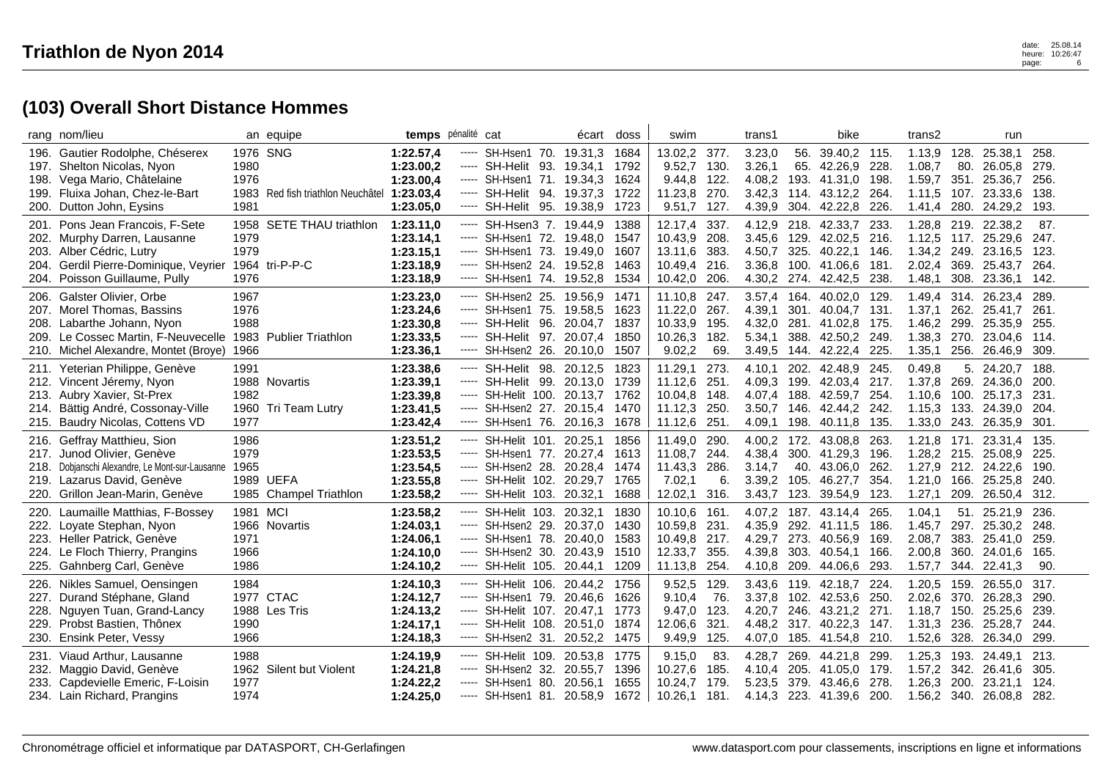|                      | rang nom/lieu                                                                                                                                                                 |                                  | an equipe                                  | temps pénalité cat                                            |                            |                                                                                                                                             | écart                                    | doss                                 | swim                                                |                                      | trans1                                         |                              | bike                                                                                 |                                   | trans2                                              |                              | run                                                                         |                                      |
|----------------------|-------------------------------------------------------------------------------------------------------------------------------------------------------------------------------|----------------------------------|--------------------------------------------|---------------------------------------------------------------|----------------------------|---------------------------------------------------------------------------------------------------------------------------------------------|------------------------------------------|--------------------------------------|-----------------------------------------------------|--------------------------------------|------------------------------------------------|------------------------------|--------------------------------------------------------------------------------------|-----------------------------------|-----------------------------------------------------|------------------------------|-----------------------------------------------------------------------------|--------------------------------------|
| 197.                 | 196. Gautier Rodolphe, Chéserex<br>Shelton Nicolas, Nyon<br>198. Vega Mario, Châtelaine<br>199. Fluixa Johan, Chez-le-Bart                                                    | 1976 SNG<br>1980<br>1976         | 1983 Red fish triathlon Neuchâtel          | 1:22.57,4<br>1:23.00,2<br>1:23.00,4<br>1:23.03.4              | -----                      | SH-Hsen1 70. 19.31,3<br>----- SH-Helit 93. 19.34,1<br>----- SH-Hsen1 71. 19.34,3<br>----- SH-Helit 94. 19.37,3                              |                                          | 1684<br>1792<br>1624<br>1722         | 13.02,2<br>9.52,7<br>9.44,8 122.<br>11.23.8         | 377.<br>130.<br>270.                 | 3.23,0<br>3.26,1<br>4.08,2<br>3.42.3           | 56.                          | 39.40,2 115<br>65. 42.26.9<br>193. 41.31,0 198.<br>114. 43.12.2 264.                 | 228                               | 1.13,9<br>1.08,7<br>1.59,7<br>1.11.5                | 128.<br>80.                  | 25.38,1<br>26.05.8<br>351, 25.36.7<br>107. 23.33.6                          | 258.<br>279.<br>256.<br>138.         |
|                      | 200. Dutton John, Eysins                                                                                                                                                      | 1981                             |                                            | 1:23.05,0                                                     | -----                      | SH-Helit 95. 19.38,9                                                                                                                        |                                          | 1723                                 | 9.51,7                                              | 127.                                 | 4.39,9                                         | 304.                         | 42.22,8                                                                              | 226                               | 1.41,4                                              | 280.                         | 24.29,2                                                                     | 193.                                 |
| 201.                 | Pons Jean Francois, F-Sete<br>202. Murphy Darren, Lausanne<br>203. Alber Cédric, Lutry<br>204. Gerdil Pierre-Dominique, Veyrier<br>204. Poisson Guillaume, Pully              | 1979<br>1979<br>1976             | 1958 SETE THAU triathlon<br>1964 tri-P-P-C | 1:23.11.0<br>1:23.14,1<br>1:23.15,1<br>1:23.18,9<br>1:23.18,9 | -----<br>-----<br>-----    | SH-Hsen3 7. 19.44.9<br>SH-Hsen1 72. 19.48,0<br>----- SH-Hsen1 73. 19.49,0<br>----- SH-Hsen2 24. 19.52,8<br>SH-Hsen1 74. 19.52,8             |                                          | 1388<br>1547<br>1607<br>1463<br>1534 | 12.17.4<br>10.43,9<br>13.11,6<br>10.49,4<br>10.42,0 | 337.<br>208.<br>383.<br>216.<br>206. | 4.12.9<br>3.45,6<br>4.50,7<br>3.36,8<br>4.30,2 | 218.<br>129.<br>325.<br>100. | 42.33.7<br>42.02,5<br>40.22,1<br>41.06.6<br>274. 42.42,5                             | 233<br>216<br>146<br>181<br>238   | 1.34,2<br>2.02.4<br>1.48,1                          | 249.<br>369.<br>308.         | 1.28,8 219. 22.38,2<br>1.12,5 117. 25.29,6<br>23.16,5<br>25.43.7<br>23.36,1 | 87.<br>247.<br>123.<br>264.<br>142.  |
| 209.                 | 206. Galster Olivier, Orbe<br>207. Morel Thomas, Bassins<br>208. Labarthe Johann, Nyon<br>Le Cossec Martin, F-Neuvecelle<br>210. Michel Alexandre, Montet (Broye)             | 1967<br>1976<br>1988<br>1966     | 1983 Publier Triathlon                     | 1:23.23,0<br>1:23.24,6<br>1:23.30,8<br>1:23.33,5<br>1:23.36,1 | -----<br>-----<br>$\cdots$ | SH-Hsen2 25.<br>SH-Hsen1 75. 19.58,5<br>SH-Helit 96. 20.04,7<br>SH-Helit 97. 20.07,4<br>SH-Hsen2 26, 20.10.0                                | 19.56,9                                  | 1471<br>1623<br>1837<br>1850<br>1507 | 11.10,8<br>11.22,0<br>10.33,9<br>10.26,3<br>9.02,2  | 247.<br>267.<br>195.<br>182.<br>69.  | 3.57,4<br>4.39,1<br>4.32,0<br>5.34,1<br>3.49,5 | 164.<br>388.                 | 40.02,0<br>301. 40.04,7 131<br>281. 41.02,8 175.<br>42.50,2 249<br>144. 42.22,4 225. | 129                               | 1.49,4<br>1.37,1<br>1.46,2 299.<br>1.38,3<br>1.35,1 | 314.<br>262.<br>270.<br>256. | 26.23,4<br>25.41,7<br>25.35,9<br>23.04.6<br>26.46.9                         | 289.<br>261.<br>255.<br>114.<br>309. |
|                      | 211. Yeterian Philippe, Genève<br>212. Vincent Jéremy, Nyon<br>213. Aubry Xavier, St-Prex<br>214. Bättig André, Cossonay-Ville<br>215. Baudry Nicolas, Cottens VD             | 1991<br>1982<br>1977             | 1988 Novartis<br>1960 Tri Team Lutry       | 1:23.38,6<br>1:23.39,1<br>1:23.39,8<br>1:23.41,5<br>1:23.42,4 | $\cdots$<br>-----<br>----- | SH-Helit 98. 20.12,5<br>----- SH-Helit 99. 20.13,0 1739<br>SH-Helit 100. 20.13,7 1762<br>----- SH-Hsen2 27. 20.15,4<br>SH-Hsen1 76. 20.16,3 |                                          | 1823<br>1470<br>1678                 | 11.29,1<br>11.12,6<br>10.04,8<br>11.12,3<br>11.12,6 | 273.<br>251.<br>148.<br>250.<br>251. | 4.10,1<br>4.09,3<br>4.07.4<br>3.50,7<br>4.09,1 | 199.<br>198.                 | 202. 42.48,9 245.<br>42.03.4<br>188, 42,59,7 254<br>146. 42.44,2 242.<br>40.11,8     | 217<br>135.                       | 0.49.8<br>1.37,8<br>1.10,6<br>1.15,3<br>1.33,0 243. | 269.<br>133.                 | 5. 24.20.7<br>24.36.0<br>100. 25.17.3<br>24.39,0<br>26.35,9                 | 188.<br>200.<br>231.<br>204.<br>301. |
|                      | 216. Geffray Matthieu, Sion<br>217. Junod Olivier, Genève<br>218. Dobjanschi Alexandre, Le Mont-sur-Lausanne<br>219. Lazarus David, Genève<br>220. Grillon Jean-Marin, Genève | 1986<br>1979<br>1965             | 1989 UEFA<br>1985 Champel Triathlon        | 1:23.51,2<br>1:23.53,5<br>1:23.54,5<br>1:23.55,8<br>1:23.58,2 | -----<br>-----<br>-----    | SH-Helit 101. 20.25,1<br>----- SH-Hsen1 77, 20.27.4<br>----- SH-Hsen2 28.<br>SH-Helit 102, 20.29.7<br>SH-Helit 103. 20.32,1                 | 20.28,4                                  | 1856<br>1613<br>1474<br>1765<br>1688 | 11.49,0<br>11.08,7<br>11.43,3<br>7.02,1<br>12.02,1  | 290.<br>244.<br>286.<br>6.<br>316.   | 4.00,2<br>4.38,4<br>3.14,7<br>3.39.2<br>3.43,7 | 172.<br>40.<br>105.          | 43.08,8<br>300. 41.29,3<br>43.06,0<br>46.27.7<br>123. 39.54,9                        | 263<br>196.<br>262<br>354<br>123. | 1.21,8<br>1.28,2<br>1.27,9<br>1.21.0<br>1.27,1      | 215.<br>212.<br>166.<br>209. | 171. 23.31,4<br>25.08.9<br>24.22,6<br>25.25.8<br>26.50,4                    | 135.<br>225.<br>190.<br>240.<br>312. |
| 220.<br>222.<br>224. | Laumaille Matthias, F-Bossey<br>Loyate Stephan, Nyon<br>223. Heller Patrick, Genève<br>Le Floch Thierry, Prangins<br>225. Gahnberg Carl, Genève                               | 1981 MCI<br>1971<br>1966<br>1986 | 1966 Novartis                              | 1:23.58,2<br>1:24.03.1<br>1:24.06,1<br>1:24.10,0<br>1:24.10,2 | -----<br>$\cdots$          | SH-Helit 103.<br>----- SH-Hsen2 29.<br>----- SH-Hsen1 78.<br>----- SH-Hsen2 30.<br>SH-Helit 105. 20.44,1                                    | 20.32.1<br>20.37.0<br>20.40,0<br>20.43.9 | 1830<br>1430<br>1583<br>1510<br>1209 | 10.10.6<br>10.59,8<br>10.49,8<br>12.33,7<br>11.13,8 | 161.<br>231.<br>217.<br>355.<br>254. | 4.07.2<br>4.35,9<br>4.29,7<br>4.39.8<br>4.10,8 | 187.<br>273.<br>303.<br>209. | 43.14.4<br>292. 41.11.5<br>40.56,9 169<br>40.54.1<br>44.06,6                         | 265<br>186<br>166.<br>293         | 1.04.1<br>1.45,7<br>2.08,7<br>2.00.8<br>1.57,7      | 383.<br>360.                 | 51. 25.21.9<br>297. 25.30,2<br>25.41,0<br>24.01.6<br>344. 22.41,3           | 236.<br>248.<br>259.<br>165.<br>90.  |
| 227.                 | 226. Nikles Samuel, Oensingen<br>Durand Stéphane, Gland<br>228. Nguyen Tuan, Grand-Lancy<br>229. Probst Bastien, Thônex<br>230. Ensink Peter, Vessy                           | 1984<br>1990<br>1966             | 1977 CTAC<br>1988 Les Tris                 | 1:24.10,3<br>1:24.12,7<br>1:24.13,2<br>1:24.17,1<br>1:24.18,3 | -----<br>-----<br>$\cdots$ | SH-Helit 106.<br>SH-Hsen1 79.<br>----- SH-Helit 107, 20.47.1<br>SH-Helit 108. 20.51,0<br>SH-Hsen2 31. 20.52,2                               | 20.44,2<br>20.46,6                       | 1756<br>1626<br>1773<br>1874<br>1475 | 9.52,5<br>9.10,4<br>9.47.0<br>12.06,6<br>9.49,9     | 129.<br>76.<br>123.<br>321.<br>125.  | 3.43.6<br>3.37,8<br>4.20.7<br>4.48,2<br>4.07,0 | 119.                         | 42.18.7<br>102. 42.53,6<br>246. 43.21.2 271<br>317. 40.22,3 147.<br>185. 41.54,8     | 224<br>250<br>210.                | 1.20,5<br>2.02,6 370.<br>$1.18.7$ 150.<br>1.52,6    | 159.<br>328.                 | 26.55.0<br>26.28,3<br>25.25.6<br>1.31,3 236. 25.28,7<br>26.34,0             | 317.<br>290.<br>239.<br>244.<br>299. |
| 232.                 | 231. Viaud Arthur, Lausanne<br>Maggio David, Genève<br>233. Capdevielle Emeric, F-Loisin<br>234. Lain Richard, Prangins                                                       | 1988<br>1977<br>1974             | 1962 Silent but Violent                    | 1:24.19,9<br>1:24.21,8<br>1:24.22,2<br>1:24.25,0              |                            | ----- SH-Helit 109. 20.53,8<br>----- SH-Hsen2<br>32.<br>----- SH-Hsen1<br>80.<br>SH-Hsen1 81. 20.58,9                                       | 20.55,7<br>20.56.1                       | 1775<br>1396<br>1655<br>1672         | 9.15,0<br>10.27,6<br>10.24,7<br>10.26,1             | 83.<br>185.<br>179.<br>181.          | 4.28,7<br>4.10,4<br>5.23.5                     | 269.<br>205.<br>379.         | 44.21,8<br>41.05.0 179.<br>43.46.6<br>4.14,3 223. 41.39,6 200.                       | 299<br>278                        | 1.25,3<br>1.57,2<br>1.26,3                          | 342.<br>200.                 | 193. 24.49,1<br>26.41,6<br>23.21.1<br>1.56,2 340. 26.08,8                   | 213.<br>305.<br>124.<br>282.         |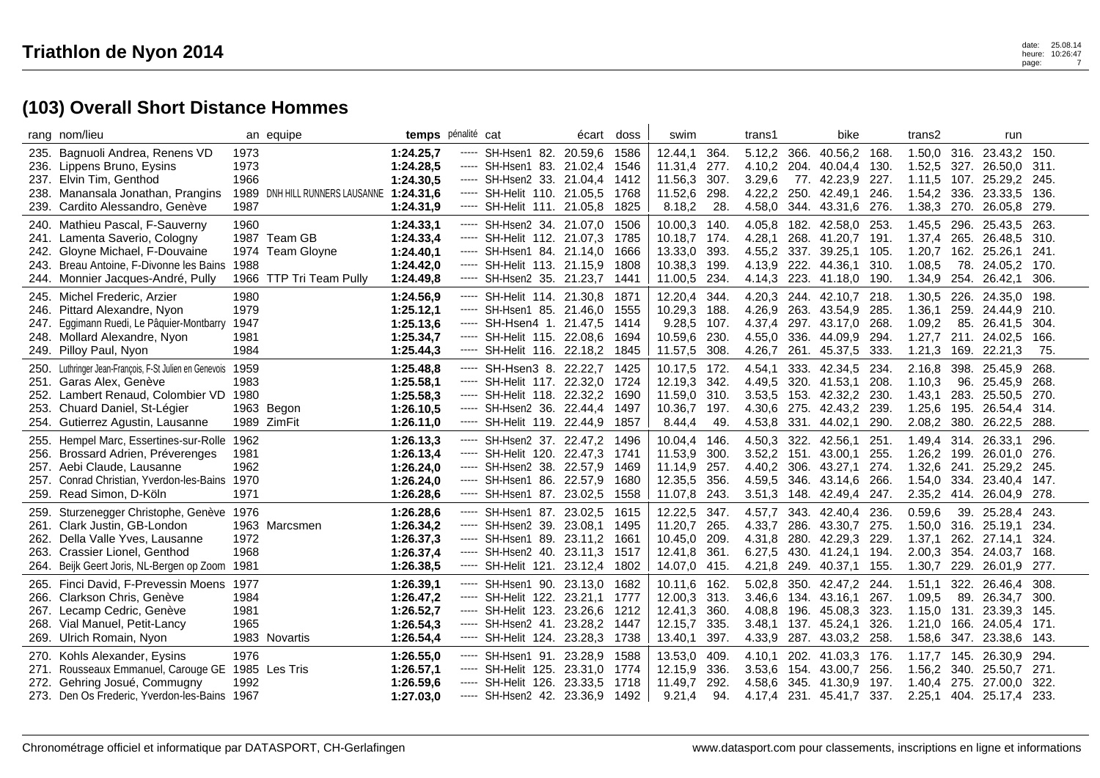|                      | rang nom/lieu                                                                                                                                                                               |                                      | an equipe                                              | temps pénalité cat                                            |                                                                                                                                                                                                                                                                                                                                                                                                                                                                                                                            |                                                                                                                                               | écart   | doss                                 | swim                                                      |                                      | trans1                                         |                              | bike                                                                              |                                      | trans2                                                   |                                     | run                                                                |                                      |
|----------------------|---------------------------------------------------------------------------------------------------------------------------------------------------------------------------------------------|--------------------------------------|--------------------------------------------------------|---------------------------------------------------------------|----------------------------------------------------------------------------------------------------------------------------------------------------------------------------------------------------------------------------------------------------------------------------------------------------------------------------------------------------------------------------------------------------------------------------------------------------------------------------------------------------------------------------|-----------------------------------------------------------------------------------------------------------------------------------------------|---------|--------------------------------------|-----------------------------------------------------------|--------------------------------------|------------------------------------------------|------------------------------|-----------------------------------------------------------------------------------|--------------------------------------|----------------------------------------------------------|-------------------------------------|--------------------------------------------------------------------|--------------------------------------|
| 235.<br>236.<br>238. | Bagnuoli Andrea, Renens VD<br>Lippens Bruno, Eysins<br>237. Elvin Tim, Genthod<br>Manansala Jonathan, Prangins<br>239. Cardito Alessandro, Genève                                           | 1973<br>1973<br>1966<br>1987         | 1989 DNH HILL RUNNERS LAUSANNE 1:24.31,6               | 1:24.25.7<br>1:24.28,5<br>1:24.30,5<br>1:24.31,9              | -----<br>-----<br>-----                                                                                                                                                                                                                                                                                                                                                                                                                                                                                                    | SH-Hsen1 82. 20.59,6<br>SH-Hsen1 83.<br>----- SH-Hsen2 33. 21.04,4<br>SH-Helit 110, 21.05.5<br>----- SH-Helit 111. 21.05,8                    | 21.02.4 | 1586<br>1546<br>1412<br>1768<br>1825 | 12.44,1<br>11.31,4<br>11.56,3<br>11.52,6<br>8.18,2        | 364.<br>277.<br>307.<br>298.<br>28.  | 5.12,2<br>4.10,2<br>3.29,6<br>4.22,2<br>4.58,0 | 366.<br>204.<br>250.<br>344. | 40.56,2<br>40.04.4<br>77. 42.23,9<br>42.49.1<br>43.31,6                           | 168.<br>130.<br>227.<br>246.<br>276. | 1.50,0<br>1.52,5<br>1.11,5<br>1.54,2<br>1.38,3           | 327.<br>107.<br>336.<br>270.        | 316. 23.43,2 150.<br>26.50.0<br>25.29,2 245.<br>23.33,5<br>26.05,8 | 311.<br>136.<br>279.                 |
| 240.<br>241.<br>243. | Mathieu Pascal, F-Sauverny<br>Lamenta Saverio, Cologny<br>242. Gloyne Michael, F-Douvaine<br>Breau Antoine, F-Divonne les Bains<br>244. Monnier Jacques-André, Pully                        | 1960<br>1974<br>1988                 | 1987 Team GB<br>Team Gloyne<br>1966 TTP Tri Team Pully | 1:24.33.1<br>1:24.33,4<br>1:24.40,1<br>1:24.42,0<br>1:24.49,8 | $\cdots$<br>-----<br>-----<br>-----                                                                                                                                                                                                                                                                                                                                                                                                                                                                                        | SH-Hsen2 34. 21.07,0<br>SH-Helit 112. 21.07,3<br>SH-Hsen1 84. 21.14,0<br>SH-Helit 113. 21.15,9<br>SH-Hsen2 35. 21.23,7                        |         | 1506<br>1785<br>1666<br>1808<br>1441 | 10.00.3<br>10.18,7<br>13.33,0<br>10.38,3<br>11.00,5       | 140.<br>174.<br>393.<br>199.<br>234. | 4.05.8<br>4.28,1<br>4.55,2<br>4.13,9<br>4.14,3 | 337.<br>222.<br>223.         | 182. 42.58.0<br>268. 41.20,7<br>39.25,1<br>44.36.1<br>41.18,0                     | 253.<br>191<br>105.<br>310.<br>190.  | 1.45.5<br>1.37,4<br>1.20,7<br>1.08,5<br>1.34,9           | 296.<br>265.<br>162.<br>78.<br>254. | 25.43.5<br>26.48,5<br>25.26,1<br>24.05.2<br>26.42,1                | 263.<br>310.<br>241.<br>170.<br>306. |
| 245.<br>247.<br>248. | Michel Frederic, Arzier<br>246. Pittard Alexandre, Nyon<br>Eggimann Ruedi, Le Pâquier-Montbarry<br>Mollard Alexandre, Nyon<br>249. Pilloy Paul, Nyon                                        | 1980<br>1979<br>1947<br>1981<br>1984 |                                                        | 1:24.56,9<br>1:25.12,1<br>1:25.13,6<br>1:25.34,7<br>1:25.44,3 | -----<br>-----                                                                                                                                                                                                                                                                                                                                                                                                                                                                                                             | SH-Helit 114, 21,30.8<br>----- SH-Hsen1 85. 21.46,0<br>----- SH-Hsen4 1. 21.47,5<br>SH-Helit 115. 22.08,6<br>SH-Helit 116. 22.18,2            |         | 1871<br>1555<br>1414<br>1694<br>1845 | 12.20,4<br>10.29,3<br>$9.28.5$ 107.<br>10.59,6<br>11.57,5 | 344.<br>188.<br>230.<br>308.         | 4.20,3<br>4.26,9<br>4.37,4<br>4.55,0<br>4.26.7 | 244.<br>336.<br>261.         | 42.10,7<br>263. 43.54,9<br>297. 43.17.0<br>44.09.9<br>45.37,5                     | 218.<br>285.<br>268.<br>294.<br>333. | 1.30,5<br>1.36,1<br>1.09,2<br>1.27,7<br>1.21,3           | 226.<br>85.<br>211.<br>169.         | 24.35.0<br>259. 24.44,9<br>26.41.5<br>24.02,5<br>22.21,3           | 198.<br>-210.<br>304.<br>166.<br>75. |
|                      | 250. Luthringer Jean-François, F-St Julien en Genevois<br>251. Garas Alex, Genève<br>252. Lambert Renaud, Colombier VD<br>253. Chuard Daniel, St-Légier<br>254. Gutierrez Agustin, Lausanne | 1959<br>1983<br>1980                 | 1963 Begon<br>1989 ZimFit                              | 1:25.48,8<br>1:25.58,1<br>1:25.58,3<br>1:26.10,5<br>1:26.11.0 | -----<br>$\cdots$                                                                                                                                                                                                                                                                                                                                                                                                                                                                                                          | SH-Hsen3 8. 22.22,7 1425<br>----- SH-Helit 117. 22.32,0<br>----- SH-Helit 118. 22.32,2<br>----- SH-Hsen2 36. 22.44,4<br>SH-Helit 119. 22.44,9 |         | 1724<br>1690<br>1497<br>1857         | 10.17,5<br>12.19,3<br>11.59,0 310.<br>10.36,7<br>8.44,4   | 172.<br>342.<br>197.<br>49.          | 4.54,1<br>4.49.5<br>3.53.5<br>4.30,6<br>4.53,8 | 320.                         | 333. 42.34,5 234.<br>41.53.1<br>153. 42.32,2 230.<br>275. 42.43,2<br>331. 44.02,1 | 208.<br>239.<br>290.                 | 2.16,8<br>1.10,3<br>1.43.1<br>1.25,6<br>2.08,2           | 96.<br>283.<br>195.<br>380.         | 398. 25.45.9<br>25.45.9<br>25.50.5<br>26.54,4<br>26.22,5           | 268.<br>268.<br>270.<br>314.<br>288. |
| 255.                 | Hempel Marc, Essertines-sur-Rolle<br>256. Brossard Adrien, Préverenges<br>257. Aebi Claude, Lausanne<br>257. Conrad Christian, Yverdon-les-Bains<br>259. Read Simon, D-Köln                 | 1962<br>1981<br>1962<br>1970<br>1971 |                                                        | 1:26.13,3<br>1:26.13.4<br>1:26.24,0<br>1:26.24,0<br>1:26.28,6 | -----<br>-----                                                                                                                                                                                                                                                                                                                                                                                                                                                                                                             | SH-Hsen2 37. 22.47,2<br>SH-Helit 120. 22.47,3<br>----- SH-Hsen2 38.<br>----- SH-Hsen1 86, 22.57.9<br>SH-Hsen1 87. 23.02,5                     | 22.57,9 | 1496<br>1741<br>1469<br>1680<br>1558 | 10.04,4<br>11.53,9<br>11.14,9<br>12.35.5<br>11.07,8       | 146.<br>300.<br>257.<br>356.<br>243. | 4.50,3<br>3.52,2<br>4.40,2<br>4.59.5<br>3.51,3 | 151.<br>306.                 | 322. 42.56,1<br>43.00.1<br>43.27,1<br>346. 43.14,6<br>148. 42.49,4                | 251<br>255.<br>274.<br>266.<br>247.  | 1.49,4 314.<br>1.26,2<br>1.32,6<br>1.54.0<br>2.35,2 414. | 199.<br>241.<br>334.                | 26.33,1<br>26.01.0<br>25.29,2<br>23.40,4<br>26.04,9                | 296.<br>276.<br>245.<br>147.<br>278. |
| 259.<br>263.<br>264. | Sturzenegger Christophe, Genève<br>261. Clark Justin, GB-London<br>262. Della Valle Yves, Lausanne<br>Crassier Lionel, Genthod<br>Beijk Geert Joris, NL-Bergen op Zoom                      | 1976<br>1972<br>1968<br>1981         | 1963 Marcsmen                                          | 1:26.28.6<br>1:26.34,2<br>1:26.37,3<br>1:26.37,4<br>1:26.38,5 | -----<br>-----<br>-----                                                                                                                                                                                                                                                                                                                                                                                                                                                                                                    | SH-Hsen1 87, 23.02.5<br>SH-Hsen2 39. 23.08,1<br>SH-Hsen1 89. 23.11,2<br>SH-Hsen2 40.<br>SH-Helit 121. 23.12,4                                 | 23.11,3 | 1615<br>1495<br>1661<br>1517<br>1802 | 12.22.5<br>11.20,7<br>10.45,0<br>12.41,8<br>14.07,0       | 347.<br>265.<br>209.<br>361.<br>415. | 4.57.7<br>4.33,7<br>4.31,8<br>6.27,5<br>4.21,8 | 343.<br>280.<br>430.<br>249. | 42.40.4<br>286. 43.30,7<br>42.29,3<br>41.24,1<br>40.37,1                          | 236.<br>275.<br>229<br>194.<br>155.  | 0.59.6<br>1.50,0<br>1.37,1<br>2.00,3<br>1.30,7           | 39.<br>316.<br>262.<br>354.<br>229. | 25.28.4<br>25.19.1<br>27.14,1<br>24.03.7<br>26.01,9                | 243.<br>234.<br>324.<br>168.<br>277. |
| 266.<br>267.         | 265. Finci David, F-Prevessin Moens<br>Clarkson Chris, Genève<br>Lecamp Cedric, Genève<br>268. Vial Manuel, Petit-Lancy<br>269. Ulrich Romain, Nyon                                         | 1977<br>1984<br>1981<br>1965         | 1983 Novartis                                          | 1:26.39,1<br>1:26.47,2<br>1:26.52.7<br>1:26.54,3<br>1:26.54,4 | -----<br>-----<br>-----<br>-----<br>$\begin{array}{cccccccccc} \multicolumn{2}{c}{} & \multicolumn{2}{c}{} & \multicolumn{2}{c}{} & \multicolumn{2}{c}{} & \multicolumn{2}{c}{} & \multicolumn{2}{c}{} & \multicolumn{2}{c}{} & \multicolumn{2}{c}{} & \multicolumn{2}{c}{} & \multicolumn{2}{c}{} & \multicolumn{2}{c}{} & \multicolumn{2}{c}{} & \multicolumn{2}{c}{} & \multicolumn{2}{c}{} & \multicolumn{2}{c}{} & \multicolumn{2}{c}{} & \multicolumn{2}{c}{} & \multicolumn{2}{c}{} & \multicolumn{2}{c}{} & \mult$ | SH-Hsen1 90, 23.13.0<br>SH-Helit 122.<br>SH-Helit 123, 23.26.6<br>SH-Hsen2 41. 23.28,2<br>SH-Helit 124. 23.28,3                               | 23.21,1 | 1682<br>1777<br>1212<br>1447<br>1738 | 10.11,6<br>12.00,3<br>12.41.3<br>12.15,7<br>13.40,1       | 162.<br>313.<br>360.<br>335.<br>397. | 5.02,8<br>3.46,6<br>4.08.8<br>3.48,1<br>4.33,9 | 350.<br>196.<br>287.         | 42.47,2<br>134. 43.16,1<br>45.08.3<br>137. 45.24,1<br>43.03,2                     | 244.<br>267.<br>323.<br>326.<br>258. | 1.51,1<br>1.09,5<br>1.15.0<br>1.21,0<br>1.58,6           | 322.<br>89.<br>131.<br>166.<br>347. | 26.46.4<br>26.34,7<br>23.39.3<br>24.05,4<br>23.38,6                | 308.<br>300.<br>145.<br>171.<br>143. |
| 270.<br>271.<br>272. | Kohls Alexander, Eysins<br>Rousseaux Emmanuel, Carouge GE 1985 Les Tris<br>Gehring Josué, Commugny<br>273. Den Os Frederic, Yverdon-les-Bains 1967                                          | 1976<br>1992                         |                                                        | 1:26.55,0<br>1:26.57,1<br>1:26.59.6<br>1:27.03,0              | -----                                                                                                                                                                                                                                                                                                                                                                                                                                                                                                                      | ----- SH-Hsen1 91. 23.28,9<br>----- SH-Helit 125. 23.31,0<br>SH-Helit 126.<br>----- SH-Hsen2 42. 23.36,9 1492                                 | 23.33,5 | 1588<br>1774<br>1718                 | 13.53,0<br>12.15,9<br>11.49,7<br>9.21,4                   | 409.<br>336.<br>292.<br>94.          | 4.10.1<br>3.53,6<br>4.58.6                     |                              | 202. 41.03,3 176.<br>154. 43.00,7<br>345. 41.30,9<br>4.17,4 231. 45.41,7 337.     | 256.<br>197.                         | 1.56,2<br>1.40.4<br>2.25,1                               | 340.<br>275.                        | 1.17,7 145. 26.30,9<br>25.50,7<br>27,00.0<br>404. 25.17,4          | 294.<br>271.<br>322.<br>233.         |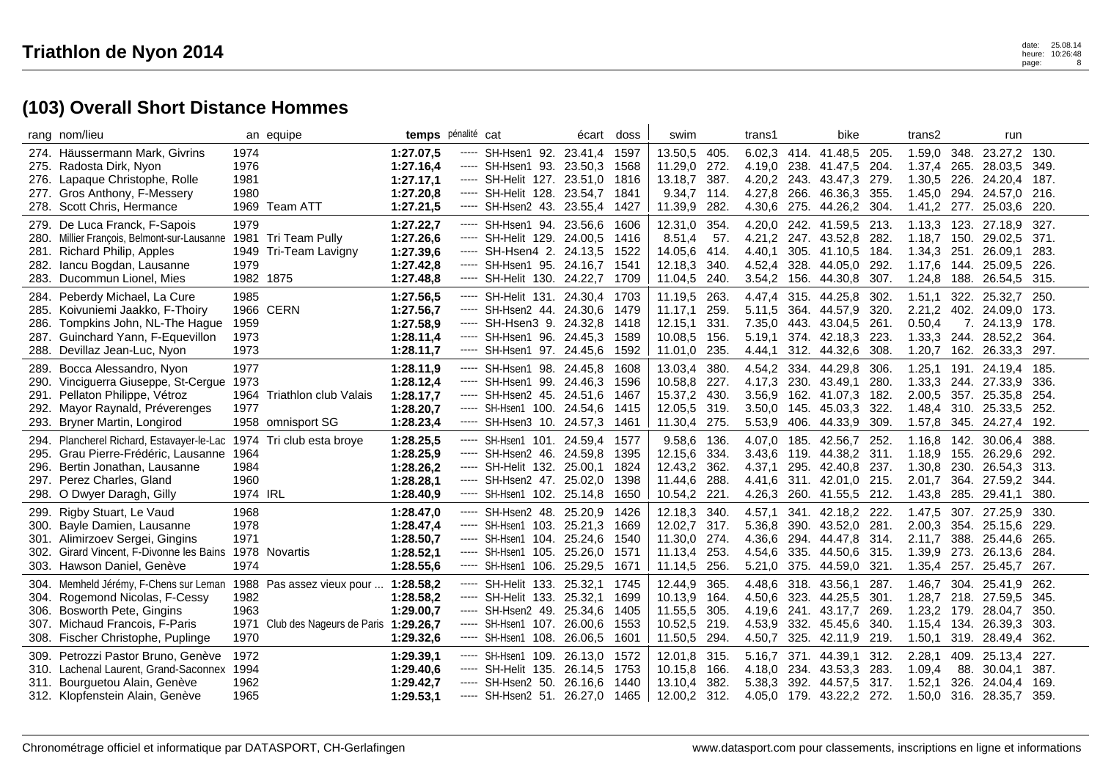| rang nom/lieu                                                                                                                                                                      |                                      | an equipe                                                        |                                                               | temps pénalité cat                                                                                                                                           |                                                     | écart doss                           | swim                                                                   |                                      | trans1                                         |                                      | bike                                                                             |                                     | trans2                                                             |                                      | run                                                                |                                        |
|------------------------------------------------------------------------------------------------------------------------------------------------------------------------------------|--------------------------------------|------------------------------------------------------------------|---------------------------------------------------------------|--------------------------------------------------------------------------------------------------------------------------------------------------------------|-----------------------------------------------------|--------------------------------------|------------------------------------------------------------------------|--------------------------------------|------------------------------------------------|--------------------------------------|----------------------------------------------------------------------------------|-------------------------------------|--------------------------------------------------------------------|--------------------------------------|--------------------------------------------------------------------|----------------------------------------|
| 274. Häussermann Mark, Givrins<br>275. Radosta Dirk, Nyon<br>276. Lapaque Christophe, Rolle<br>277. Gros Anthony, F-Messery<br>278. Scott Chris, Hermance                          | 1974<br>1976<br>1981<br>1980<br>1969 | Team ATT                                                         | 1:27.07,5<br>1:27.16,4<br>1:27.17.1<br>1:27.20,8<br>1:27.21,5 | SH-Hsen1 92, 23.41.4<br>-----<br>----- SH-Hsen1 93. 23.50,3<br>SH-Helit 127. 23.51,0<br>-----<br>----- SH-Helit 128. 23.54,7<br>SH-Hsen2 43.                 | 23.55,4                                             | 1597<br>1568<br>1816<br>1841<br>1427 | 13.50.5 405.<br>11.29,0<br>13.18,7 387.<br>9.34,7 114.<br>11.39,9      | 272.<br>282.                         | 6.02.3<br>4.19,0<br>4.20,2<br>4.27,8<br>4.30,6 | 266.<br>275.                         | 414. 41.48.5 205.<br>238. 41.47,5<br>243. 43.47,3 279<br>46.36,3<br>44.26,2      | 204.<br>355.<br>304.                | 1.59.0<br>1.37,4 265.<br>1.30,5 226.<br>1.45,0<br>1.41,2           | 348.<br>294.<br>277.                 | 23.27,2 130.<br>28.03.5<br>24.20,4<br>24.57,0<br>25.03,6           | 349.<br>187.<br>216.<br>-220.          |
| 279. De Luca Franck, F-Sapois<br>280. Millier François, Belmont-sur-Lausanne 1981<br>281. Richard Philip, Apples<br>Iancu Bogdan, Lausanne<br>282.<br>283. Ducommun Lionel, Mies   | 1979<br>1949<br>1979                 | Tri Team Pully<br>Tri-Team Lavigny<br>1982 1875                  | 1:27.22,7<br>1:27.26,6<br>1:27.39,6<br>1:27.42,8<br>1:27.48,8 | SH-Hsen1 94. 23.56,6<br>-----<br>SH-Helit 129.<br>$\cdots$<br>----- SH-Hsen4 2. 24.13,5 1522<br>----- SH-Hsen1 95. 24.16.7<br>SH-Helit 130. 24.22,7<br>----- | 24.00.5                                             | 1606<br>1416<br>1541<br>1709         | 12.31,0<br>8.51,4<br>14.05,6 414.<br>12.18.3<br>11.04,5                | 354.<br>57.<br>340.<br>240.          | 4.20,0<br>4.21,2<br>4.40,1<br>4.52.4<br>3.54,2 | 156.                                 | 242. 41.59,5 213.<br>247. 43.52,8<br>305. 41.10,5<br>328. 44.05.0<br>44.30,8     | 282<br>184.<br>292.<br>307.         | 1.18.7<br>$1.34,3$ 251.<br>1.17.6<br>1.24,8                        | 150.<br>144.<br>188.                 | 1.13,3 123. 27.18,9<br>29.02,5<br>26.09,1<br>25.09.5<br>26.54,5    | 327.<br>-371.<br>283.<br>-226.<br>315. |
| 284. Peberdy Michael, La Cure<br>285. Koivuniemi Jaakko, F-Thoiry<br>Tompkins John, NL-The Hague<br>286.<br>287. Guinchard Yann, F-Equevillon<br>288. Devillaz Jean-Luc, Nyon      | 1985<br>1959<br>1973<br>1973         | 1966 CERN                                                        | 1:27.56,5<br>1:27.56,7<br>1:27.58,9<br>1:28.11,4<br>1:28.11.7 | SH-Helit 131, 24.30.4<br>-----<br>----- SH-Hsen2 44. 24.30.6<br>----- SH-Hsen3 9. 24.32,8<br>----- SH-Hsen1 96. 24.45,3<br>SH-Hsen1 97. 24.45,6<br>-----     |                                                     | 1703<br>1479<br>1418<br>1589<br>1592 | 11.19,5 263.<br>11.17,1<br>12.15,1<br>10.08,5 156.<br>11.01,0          | 259.<br>331.<br>235.                 | 4.47.4<br>5.11,5<br>7.35,0<br>5.19,1<br>4.44,1 | 443.                                 | 315. 44.25.8<br>364. 44.57,9<br>43.04,5<br>374. 42.18,3<br>312. 44.32,6          | 302<br>320.<br>261.<br>223<br>308   | 1.51.1<br>2.21,2<br>0.50,4<br>1.33,3 244.<br>1.20,7                | 322.<br>402.<br>7.<br>162.           | 25.32.7<br>24.09.0<br>24.13.9<br>28.52,2<br>26.33.3 297.           | 250.<br>173.<br>178.<br>364.           |
| 289. Bocca Alessandro, Nyon<br>290. Vinciguerra Giuseppe, St-Cergue<br>Pellaton Philippe, Vétroz<br>291.<br>292. Mayor Raynald, Préverenges<br>293. Bryner Martin, Longirod        | 1977<br>1973<br>1977                 | 1964 Triathlon club Valais<br>1958 omnisport SG                  | 1:28.11,9<br>1:28.12,4<br>1:28.17,7<br>1:28.20,7<br>1:28.23,4 | SH-Hsen1 98. 24.45,8<br>-----<br>----- SH-Hsen1 99. 24.46,3<br>----- SH-Hsen2 45. 24.51,6<br>SH-Hsen1 100. 24.54,6<br>-----<br>SH-Hsen3 10. 24.57,3<br>----- |                                                     | 1608<br>1596<br>1467<br>1415<br>1461 | 13.03,4<br>10.58,8<br>15.37,2<br>12.05,5<br>11.30,4 275.               | 380.<br>227.<br>430.<br>319.         | 4.54,2<br>4.17,3<br>3.56,9<br>3.50,0<br>5.53,9 | 230.<br>162.<br>145.<br>406.         | 334. 44.29,8<br>43.49.1<br>41.07,3<br>45.03,3<br>44.33,9                         | 306.<br>280<br>182<br>322<br>309    | 1.25,1<br>1.33,3 244.<br>2.00,5<br>1.48,4<br>1.57,8                | 357.<br>310.                         | 191, 24.19.4 185.<br>27.33.9<br>25.35,8<br>25.33,5<br>345. 24.27,4 | 336.<br>254.<br>252.<br>192.           |
| 294. Plancherel Richard, Estavayer-le-Lac 1974<br>295. Grau Pierre-Frédéric, Lausanne<br>296. Bertin Jonathan, Lausanne<br>297. Perez Charles, Gland<br>298. O Dwyer Daragh, Gilly | 1964<br>1984<br>1960<br>1974 IRL     | Tri club esta broye                                              | 1:28.25,5<br>1:28.25,9<br>1:28.26,2<br>1:28.28,1<br>1:28.40,9 | SH-Hsen1 101, 24.59.4<br>-----<br>----- SH-Hsen2 46. 24.59,8<br>----- SH-Helit 132. 25.00,1<br>SH-Hsen2 47.<br>-----<br>----- SH-Hsen1 102. 25.14,8          | 25.02,0                                             | 1577<br>1395<br>1824<br>1398<br>1650 | 9.58.6 136.<br>12.15,6 334.<br>12.43,2 362.<br>11.44,6<br>10.54,2 221. | 288.                                 | 4.07.0<br>3.43.6<br>4.37,1<br>4.41.6<br>4.26,3 | 185.<br>311.                         | 42.56.7<br>119. 44.38,2 311<br>295. 42.40,8 237.<br>42.01.0<br>260. 41.55,5 212. | 252<br>215.                         | 1.16.8 142.<br>1.18,9 155.<br>1.30,8 230.<br>2.01.7<br>1.43,8 285. | 364.                                 | 30.06.4<br>26.29.6<br>26.54,3<br>27.59.2<br>29.41.1                | 388.<br>292.<br>313.<br>344.<br>380.   |
| 299. Rigby Stuart, Le Vaud<br>300. Bayle Damien, Lausanne<br>301. Alimirzoev Sergei, Gingins<br>302. Girard Vincent, F-Divonne les Bains<br>303. Hawson Daniel, Genève             | 1968<br>1978<br>1971<br>1974         | 1978 Novartis                                                    | 1:28.47,0<br>1:28.47,4<br>1:28.50,7<br>1:28.52,1<br>1:28.55,6 | SH-Hsen2 48. 25.20,9<br>-----<br>SH-Hsen1 103.<br>-----<br>SH-Hsen1 104.<br>-----<br>SH-Hsen1 105.<br>-----<br>SH-Hsen1 106.<br>-----                        | 25.21,3<br>25.24,6<br>25.26,0<br>25.29.5            | 1426<br>1669<br>1540<br>1571<br>1671 | 12.18,3 340.<br>12.02,7<br>11.30,0 274.<br>11.13,4<br>11.14,5          | 317.<br>253.<br>256.                 | 4.57,1<br>5.36,8<br>4.36,6<br>4.54,6<br>5.21,0 | 341.<br>390.<br>294.<br>335.<br>375. | 42.18,2 222.<br>43.52,0<br>44.47,8 314.<br>44.50,6<br>44.59,0                    | 281.<br>315.<br>321.                | 1.47,5<br>2.00,3<br>2.11,7<br>1.39,9 273.<br>1.35,4 257.           | 354.<br>388.                         | 307. 27.25.9<br>25.15,6<br>25.44,6<br>26.13.6<br>25.45.7           | 330.<br>229.<br>265.<br>284.<br>267.   |
| 304. Memheld Jérémy, F-Chens sur Leman<br>304. Rogemond Nicolas, F-Cessy<br>306. Bosworth Pete, Gingins<br>307. Michaud Francois, F-Paris<br>308. Fischer Christophe, Puplinge     | 1982<br>1963<br>1971<br>1970         | 1988 Pas assez vieux pour<br>Club des Nageurs de Paris 1:29.26,7 | 1:28.58,2<br>1:28.58,2<br>1:29.00,7<br>1:29.32,6              | SH-Helit 133.<br>-----<br>SH-Helit 133.<br>$\cdots$<br>SH-Hsen2 49.<br>-----<br>----- SH-Hsen1 107.<br>SH-Hsen1 108.<br>-----                                | 25.32.1<br>25.32,1<br>25.34.6<br>26.00,6<br>26.06,5 | 1745<br>1699<br>1405<br>1553<br>1601 | 12.44,9<br>10.13,9<br>11.55,5<br>10.52,5<br>11.50,5                    | 365.<br>164.<br>305.<br>219.<br>294. | 4.48,6<br>4.50,6<br>4.19.6<br>4.53,9<br>4.50,7 | 318.<br>323.<br>241.<br>332.<br>325. | 43.56,1<br>44.25,5<br>43.17.7<br>45.45.6<br>42.11,9                              | 287.<br>301<br>269.<br>340.<br>219. | 1.46,7<br>1.28,7<br>1.23,2<br>1.15,4<br>1.50,1                     | 304.<br>218.<br>179.<br>134.<br>319. | 25.41.9<br>27.59.5<br>28.04.7<br>26.39,3<br>28.49,4                | 262.<br>345.<br>350.<br>303.<br>362.   |
| 309. Petrozzi Pastor Bruno, Genève<br>310. Lachenal Laurent, Grand-Saconnex 1994<br>311. Bourguetou Alain, Genève<br>312. Klopfenstein Alain, Genève                               | 1972<br>1962<br>1965                 |                                                                  | 1:29.39.1<br>1:29.40,6<br>1:29.42,7<br>1:29.53,1              | SH-Hsen1 109.<br>-----<br>SH-Helit 135.<br>-----<br>----- SH-Hsen2 50.<br>----- SH-Hsen2 51. 26.27,0 1465                                                    | 26.13.0<br>26.14.5<br>26.16,6                       | 1572<br>1753<br>1440                 | 12.01,8 315.<br>10.15,8<br>13.10,4<br>12.00,2 312.                     | 166.<br>382.                         | 5.16.7<br>4.18,0<br>5.38,3                     | 234.<br>392.                         | 371. 44.39,1<br>43.53,3<br>44.57,5<br>4.05,0 179. 43.22,2 272.                   | 312.<br>283.<br>317.                | 2.28,1<br>1.09,4<br>1.52,1                                         | 409.<br>88.<br>326.                  | 25.13.4<br>30.04,1<br>24.04.4<br>1.50,0 316. 28.35,7               | 227.<br>387.<br>169.<br>-359.          |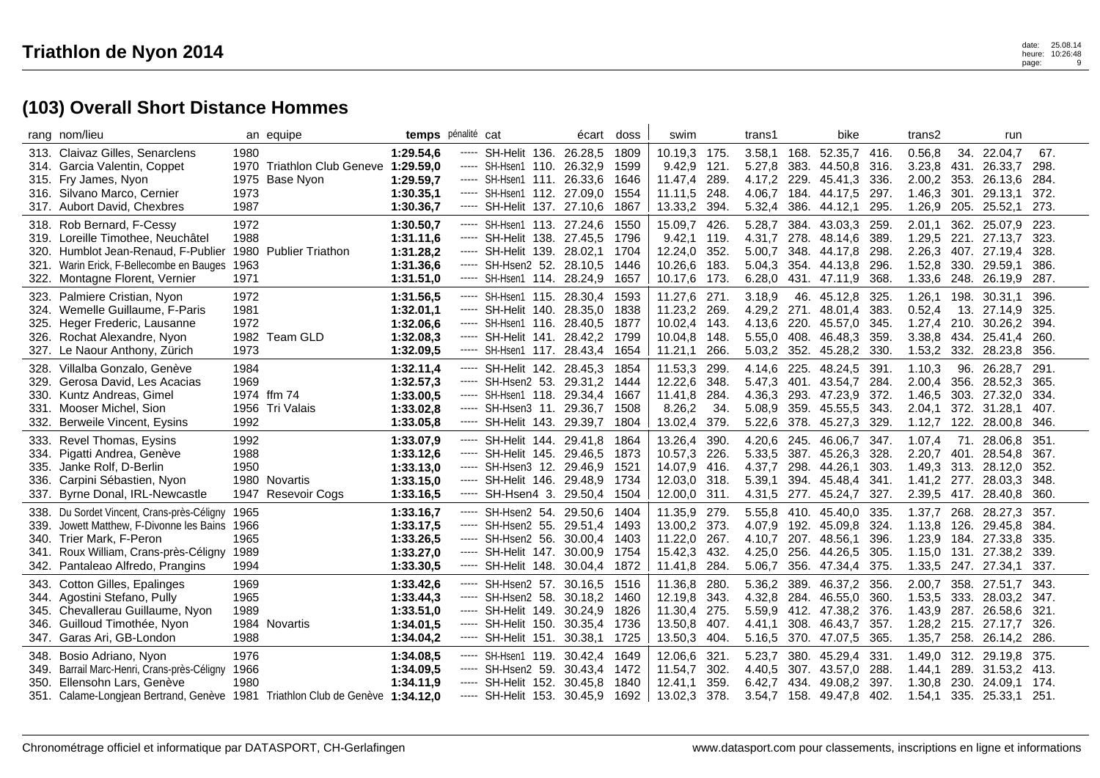| rang nom/lieu                                                                                                                                                                                        |                              | an equipe                                         | temps pénalité cat                                            |                                                                                                                                                                                                                                                                                                                                                                                                                                                                                                 |                                                                                                                                                          | écart                                                    | doss                                 | swim                                                                    |                                     | trans1                                         |                                      | bike                                                               |                                   | trans2                                         |                                     | run                                                                              |                                      |
|------------------------------------------------------------------------------------------------------------------------------------------------------------------------------------------------------|------------------------------|---------------------------------------------------|---------------------------------------------------------------|-------------------------------------------------------------------------------------------------------------------------------------------------------------------------------------------------------------------------------------------------------------------------------------------------------------------------------------------------------------------------------------------------------------------------------------------------------------------------------------------------|----------------------------------------------------------------------------------------------------------------------------------------------------------|----------------------------------------------------------|--------------------------------------|-------------------------------------------------------------------------|-------------------------------------|------------------------------------------------|--------------------------------------|--------------------------------------------------------------------|-----------------------------------|------------------------------------------------|-------------------------------------|----------------------------------------------------------------------------------|--------------------------------------|
| 313. Claivaz Gilles, Senarclens<br>314. Garcia Valentin, Coppet<br>315. Fry James, Nyon<br>316. Silvano Marco, Cernier<br>317. Aubort David, Chexbres                                                | 1980<br>1975<br>1973<br>1987 | 1970 Triathlon Club Geneve 1:29.59,0<br>Base Nyon | 1:29.54,6<br>1:29.59.7<br>1:30.35,1<br>1:30.36,7              | -----<br>-----<br>-----<br>-----<br>$\cdots$                                                                                                                                                                                                                                                                                                                                                                                                                                                    | SH-Helit 136, 26.28.5<br>SH-Hsen1 110. 26.32,9<br>SH-Hsen1 111. 26.33,6<br>SH-Hsen1 112. 27.09,0<br>SH-Helit 137. 27.10,6                                |                                                          | 1809<br>1599<br>1646<br>1554<br>1867 | 10.19.3 175.<br>9.42,9 121.<br>11.47,4<br>11.11,5<br>13.33,2            | 289.<br>248.<br>394.                | 3.58,1<br>5.27,8<br>4.17,2<br>4.06,7<br>5.32,4 | 168.<br>383.<br>229.<br>184.<br>386. | 52.35,7 416.<br>44.50,8<br>45.41,3<br>44.17,5<br>44.12,1           | 316<br>336<br>297.<br>295         | 0.56,8<br>3.23,8<br>2.00,2<br>1.46,3<br>1.26,9 | 301.<br>205.                        | 34. 22.04,7<br>431. 26.33,7<br>353. 26.13,6<br>29.13,1<br>25.52,1                | 67.<br>298.<br>284.<br>372.<br>273.  |
| 318. Rob Bernard, F-Cessy<br>319. Loreille Timothee, Neuchâtel<br>320. Humblot Jean-Renaud, F-Publier<br>321. Warin Erick, F-Bellecombe en Bauges<br>322. Montagne Florent, Vernier                  | 1972<br>1988<br>1963<br>1971 | 1980 Publier Triathon                             | 1:30.50,7<br>1:31.11,6<br>1:31.28,2<br>1:31.36,6<br>1:31.51,0 | -----<br>$\cdots$<br>-----<br>$\cdots$                                                                                                                                                                                                                                                                                                                                                                                                                                                          | SH-Hsen1 113. 27.24,6<br>SH-Helit 138, 27,45.5<br>SH-Helit 139. 28.02,1<br>----- SH-Hsen2 52. 28.10,5<br>SH-Hsen1 114. 28.24,9                           |                                                          | 1550<br>1796<br>1704<br>1446<br>1657 | 15.09,7<br>9.42,1<br>12.24,0 352.<br>10.26,6 183.<br>10.17,6 173.       | 426.<br>119.                        | 5.28,7<br>4.31.7<br>5.00,7<br>5.04.3<br>6.28,0 | 278.<br>348.<br>431.                 | 384. 43.03,3<br>48.14,6<br>44.17,8<br>354. 44.13,8<br>47.11,9      | 259<br>389<br>298<br>296<br>368   | 2.01.1<br>1.29,5<br>2.26,3<br>1.52,8<br>1.33,6 | 221.<br>330.<br>248.                | 362, 25.07.9<br>27.13.7<br>407. 27.19,4<br>29.59,1<br>26.19,9                    | 223.<br>323.<br>328.<br>386.<br>287. |
| 323. Palmiere Cristian, Nyon<br>324. Wemelle Guillaume, F-Paris<br>325. Heger Frederic, Lausanne<br>326. Rochat Alexandre, Nyon<br>327. Le Naour Anthony, Zürich                                     | 1972<br>1981<br>1972<br>1973 | 1982 Team GLD                                     | 1:31.56.5<br>1:32.01,1<br>1:32.06,6<br>1:32.08,3<br>1:32.09.5 | -----<br>-----<br>$\cdots$                                                                                                                                                                                                                                                                                                                                                                                                                                                                      | SH-Hsen1 115. 28.30,4<br>SH-Helit 140.<br>SH-Hsen1 116.<br>----- SH-Helit 141. 28.42,2<br>----- SH-Hsen1 117. 28.43,4 1654                               | 28.35.0<br>28.40.5                                       | 1593<br>1838<br>1877<br>1799         | 11.27,6 271.<br>11.23,2 269.<br>10.02,4<br>10.04.8<br>11.21,1           | 143.<br>148.<br>266.                | 3.18,9<br>4.29,2<br>4.13.6<br>5.55,0<br>5.03,2 | 271.<br>220.<br>408.                 | 46. 45.12,8<br>48.01,4<br>45.57,0<br>46.48,3<br>352. 45.28,2       | 325<br>383<br>345<br>359<br>330   | 1.26,1<br>0.52,4<br>1.27,4<br>3.38,8<br>1.53,2 | 198.<br>13.<br>210.<br>434.<br>332. | 30.31,1<br>27.14,9<br>30.26.2<br>25.41,4<br>28.23,8                              | 396.<br>325.<br>394.<br>260.<br>356. |
| 328. Villalba Gonzalo, Genève<br>Gerosa David, Les Acacias<br>329.<br>330. Kuntz Andreas, Gimel<br>331. Mooser Michel, Sion<br>Berweile Vincent, Eysins<br>332.                                      | 1984<br>1969<br>1992         | 1974 ffm 74<br>1956 Tri Valais                    | 1:32.11,4<br>1:32.57,3<br>1:33.00,5<br>1:33.02,8<br>1:33.05,8 | -----<br>-----<br>-----<br>-----                                                                                                                                                                                                                                                                                                                                                                                                                                                                | SH-Helit 142. 28.45,3<br>SH-Hsen2 53. 29.31,2<br>SH-Hsen1 118. 29.34,4<br>----- SH-Hsen3 11.<br>SH-Helit 143. 29.39,7                                    | 29.36,7                                                  | 1854<br>1444<br>1667<br>1508<br>1804 | 11.53,3<br>12.22,6<br>11.41,8<br>8.26,2<br>13.02,4                      | 299.<br>348.<br>284.<br>34.<br>379. | 4.14.6<br>5.47,3<br>4.36,3<br>5.08,9<br>5.22,6 | 225.<br>401.<br>359.<br>378.         | 48.24,5<br>43.54,7<br>293. 47.23,9<br>45.55,5<br>45.27,3           | 391<br>284<br>372<br>343<br>329   | 1.10,3<br>2.00,4<br>1.46,5<br>2.04,1<br>1.12,7 | 96.<br>356.<br>303.<br>372.         | 26.28.7<br>28.52,3<br>27.32,0<br>31.28,1<br>122. 28.00,8                         | 291.<br>365.<br>334.<br>407.<br>346. |
| 333. Revel Thomas, Eysins<br>334. Pigatti Andrea, Genève<br>335. Janke Rolf, D-Berlin<br>Carpini Sébastien, Nyon<br>336.<br>Byrne Donal, IRL-Newcastle<br>337.                                       | 1992<br>1988<br>1950         | 1980 Novartis<br>1947 Resevoir Cogs               | 1:33.07,9<br>1:33.12,6<br>1:33.13,0<br>1:33.15,0<br>1:33.16,5 | -----<br>$\begin{array}{cccccccccc} \multicolumn{2}{c}{} & \multicolumn{2}{c}{} & \multicolumn{2}{c}{} & \multicolumn{2}{c}{} & \multicolumn{2}{c}{} & \multicolumn{2}{c}{} & \multicolumn{2}{c}{} & \multicolumn{2}{c}{} & \multicolumn{2}{c}{} & \multicolumn{2}{c}{} & \multicolumn{2}{c}{} & \multicolumn{2}{c}{} & \multicolumn{2}{c}{} & \multicolumn{2}{c}{} & \multicolumn{2}{c}{} & \multicolumn{2}{c}{} & \multicolumn{2}{c}{} & \multicolumn{2}{c}{} & \multicolumn{2}{c}{} & \mult$ | SH-Helit 144.<br>----- SH-Helit 145. 29.46,5<br>----- SH-Hsen3 12. 29.46,9 1521<br>----- SH-Helit 146. 29.48,9 1734<br>SH-Hsen4 3. 29.50,4 1504          | 29.41.8                                                  | 1864<br>1873                         | 13.26,4<br>10.57,3<br>14.07,9 416.<br>12.03,0 318.<br>12.00,0 311.      | 390.<br>226.                        | 4.20.6<br>5.33,5<br>4.37,7<br>5.39,1<br>4.31,5 | 245.<br>277.                         | 46.06.7<br>387. 45.26,3<br>298. 44.26,1<br>394. 45.48,4<br>45.24,7 | 347.<br>328<br>303<br>341<br>327. | 1.07,4<br>2.20.7<br>1.41,2                     | 71.<br>277.                         | 28.06.8<br>401. 28.54,8<br>1.49,3 313. 28.12,0<br>28.03,3<br>2.39,5 417. 28.40,8 | 351.<br>367.<br>352.<br>348.<br>360. |
| 338. Du Sordet Vincent, Crans-près-Céligny<br>339. Jowett Matthew. F-Divonne les Bains 1966<br>340. Trier Mark, F-Peron<br>341. Roux William, Crans-près-Céligny<br>342. Pantaleao Alfredo, Prangins | 1965<br>1965<br>1989<br>1994 |                                                   | 1:33.16,7<br>1:33.17,5<br>1:33.26,5<br>1:33.27,0<br>1:33.30,5 | $\cdots \cdots \cdots$                                                                                                                                                                                                                                                                                                                                                                                                                                                                          | ----- SH-Hsen2 54, 29.50.6<br>----- SH-Hsen2 55, 29.51.4<br>----- SH-Hsen2 56. 30.00,4 1403<br>----- SH-Helit 147. 30.00,9 1754<br>SH-Helit 148. 30.04,4 |                                                          | 1404<br>1493<br>1872                 | 11.35,9 279.<br>13.00,2 373.<br>11.22,0 267.<br>15.42,3 432.<br>11.41,8 | 284.                                | 5.55.8<br>4.07.9<br>4.10.7<br>4.25,0<br>5.06,7 | 192.<br>256.<br>356.                 | 410. 45.40.0<br>45.09.8<br>207. 48.56.1<br>44.26,5<br>47.34,4      | 335<br>324<br>396<br>305<br>375   | 1.37.7<br>1.13,8<br>1.23,9<br>1.15,0<br>1.33,5 | 126.                                | 268. 28.27.3<br>29.45.8<br>184. 27.33,8<br>131. 27.38.2<br>247. 27.34,1          | 357.<br>384.<br>335.<br>339.<br>337. |
| 343. Cotton Gilles, Epalinges<br>344. Agostini Stefano, Pully<br>345. Chevallerau Guillaume, Nyon<br>346. Guilloud Timothée, Nyon<br>347. Garas Ari, GB-London                                       | 1969<br>1965<br>1989<br>1988 | 1984 Novartis                                     | 1:33.42,6<br>1:33.44,3<br>1:33.51,0<br>1:34.01,5<br>1:34.04,2 | $\cdots$<br>$\cdots \cdots \cdots$<br>-----<br>-----                                                                                                                                                                                                                                                                                                                                                                                                                                            | ----- SH-Hsen2 57.<br>SH-Hsen2 58.<br>SH-Helit 149.<br>SH-Helit 150.<br>SH-Helit 151.                                                                    | 30.16,5 1516<br>30.18,2<br>30.24,9<br>30.35,4<br>30.38,1 | 1460<br>1826<br>1736<br>1725         | 11.36,8<br>12.19,8<br>11.30,4<br>13.50,8 407.<br>13.50,3                | 280.<br>343.<br>275.<br>404.        | 5.36,2<br>4.32,8<br>5.59.9<br>4.41.1<br>5.16,5 | 389.<br>284.<br>412.<br>308.<br>370. | 46.37,2<br>46.55.0<br>47.38,2 376.<br>46.43,7<br>47.07,5           | 356<br>360<br>357<br>365          | 2.00,7<br>1.53,5<br>1.43,9<br>1.28,2<br>1.35,7 | 333.<br>287.<br>258.                | 358. 27.51,7<br>28.03,2<br>26.58.6<br>215. 27.17,7<br>26.14,2                    | 343.<br>347.<br>321.<br>326.<br>286. |
| Bosio Adriano, Nyon<br>348.<br>349. Barrail Marc-Henri, Crans-près-Céligny<br>350. Ellensohn Lars, Genève<br>351. Calame-Longjean Bertrand, Genève 1981 Triathlon Club de Genève 1:34.12,0           | 1976<br>1966<br>1980         |                                                   | 1:34.08.5<br>1:34.09,5<br>1:34.11,9                           | -----<br>-----                                                                                                                                                                                                                                                                                                                                                                                                                                                                                  | SH-Hsen1 119.<br>----- SH-Hsen2 59.<br>SH-Helit 152.<br>----- SH-Helit 153.                                                                              | 30.42.4<br>30.43,4<br>30.45,8<br>30.45,9 1692            | 1649<br>1472<br>1840                 | 12.06,6<br>11.54,7<br>12.41,1<br>13.02,3                                | 321.<br>302.<br>359.<br>378.        | 5.23,7<br>4.40,5<br>6.42,7<br>3.54,7           | 380.<br>434.<br>158.                 | 45.29,4<br>307. 43.57,0<br>49.08,2<br>49.47,8                      | 331<br>288<br>397.<br>402         | 1.49.0<br>1.44, 1<br>1.30,8<br>1.54,1          | 230.<br>335.                        | 312. 29.19,8<br>289. 31.53,2 413.<br>24.09,1<br>25.33,1                          | 375.<br>174.<br>251.                 |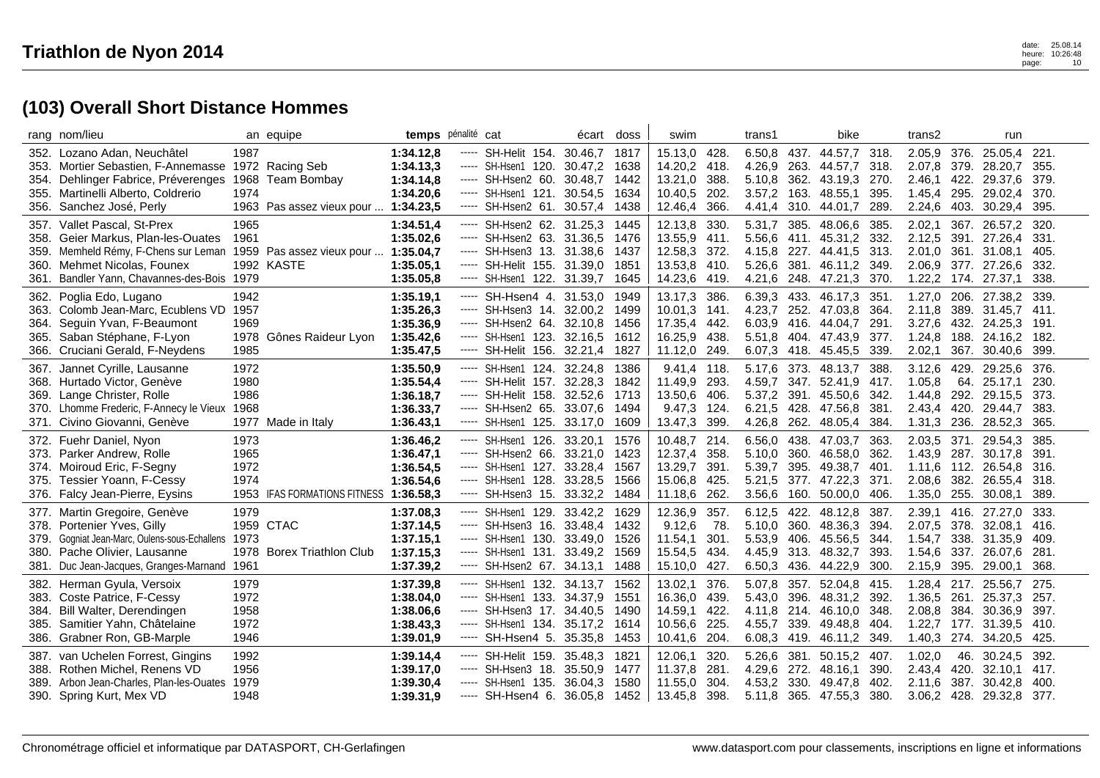|                              | rang nom/lieu                                                                                                                                                                    |                                      | an equipe                                                        | temps pénalité cat                                            |                                                                                                                                                        | écart                         | doss                                 | swim                                                     |                                      | trans1                                         |                      | bike                                                                                                               |                               | trans2                                         |              | run                                                                            |                                       |
|------------------------------|----------------------------------------------------------------------------------------------------------------------------------------------------------------------------------|--------------------------------------|------------------------------------------------------------------|---------------------------------------------------------------|--------------------------------------------------------------------------------------------------------------------------------------------------------|-------------------------------|--------------------------------------|----------------------------------------------------------|--------------------------------------|------------------------------------------------|----------------------|--------------------------------------------------------------------------------------------------------------------|-------------------------------|------------------------------------------------|--------------|--------------------------------------------------------------------------------|---------------------------------------|
|                              | 352. Lozano Adan, Neuchâtel<br>353. Mortier Sebastien, F-Annemasse<br>354. Dehlinger Fabrice, Préverenges<br>355. Martinelli Alberto, Coldrerio<br>356. Sanchez José, Perly      | 1987<br>1974                         | 1972 Racing Seb<br>1968 Team Bombay<br>1963 Pas assez vieux pour | 1:34.12.8<br>1:34.13,3<br>1:34.14.8<br>1:34.20,6<br>1:34.23.5 | ----- SH-Helit 154, 30.46.7<br>----- SH-Hsen1 120. 30.47,2<br>----- SH-Hsen2 60, 30.48.7<br>$--$ SH-Hsen1 121. 30.54,5<br>----- SH-Hsen2 61. 30.57,4   |                               | 1817<br>1638<br>1442<br>1634<br>1438 | 15.13,0<br>14.20,2<br>13.21.0<br>10.40.5<br>12.46,4      | 428.<br>418.<br>388.<br>202.<br>366. | 3.57,2<br>4.41,4                               |                      | 6.50,8 437. 44.57,7 318.<br>4.26,9 263. 44.57,7<br>5.10,8 362. 43.19,3 270.<br>163. 48.55,1<br>310. 44.01,7        | 318.<br>395<br>289            | 2.05,9<br>2.07,8<br>2.46.1<br>1.45,4<br>2.24,6 | 403.         | 376. 25.05,4<br>379. 28.20,7<br>422. 29.37.6<br>295. 29.02,4<br>30.29,4        | 221.<br>355.<br>379.<br>370.<br>395.  |
| 357.<br>359.<br>360.<br>361. | Vallet Pascal, St-Prex<br>358. Geier Markus, Plan-les-Ouates<br>Memheld Rémy, F-Chens sur Leman<br>Mehmet Nicolas, Founex<br>Bandler Yann, Chavannes-des-Bois 1979               | 1965<br>1961                         | 1959 Pas assez vieux pour<br>1992 KASTE                          | 1:34.51.4<br>1:35.02.6<br>1:35.04,7<br>1:35.05,1<br>1:35.05.8 | ----- SH-Hsen2 62. 31.25,3<br>----- SH-Hsen2 63. 31.36,5<br>----- SH-Hsen3 13. 31.38,6<br>----- SH-Helit 155. 31.39,0<br>----- SH-Hsen1 122. 31.39,7   |                               | 1445<br>1476<br>1437<br>1851<br>1645 | 12.13,8<br>13.55,9<br>12.58,3<br>13.53,8<br>14.23,6      | 330.<br>411.<br>372.<br>410.<br>419. | 5.31,7                                         | 385.                 | 48.06,6<br>5.56,6 411. 45.31,2 332.<br>4.15,8 227. 44.41,5<br>5.26,6 381. 46.11,2 349.<br>4.21,6 248. 47.21,3 370. | 385<br>313.                   | 2.02,1<br>2.12.5<br>2.01,0<br>2.06,9           | 361.         | 367. 26.57,2<br>391. 27.26,4<br>31.08,1<br>377. 27.26,6<br>1.22,2 174. 27.37,1 | 320.<br>331.<br>405.<br>332.<br>338.  |
| 365.                         | 362. Poglia Edo, Lugano<br>363. Colomb Jean-Marc, Ecublens VD<br>364. Seguin Yvan, F-Beaumont<br>Saban Stéphane, F-Lyon<br>366. Cruciani Gerald, F-Neydens                       | 1942<br>1957<br>1969<br>1985         | 1978 Gônes Raideur Lyon                                          | 1:35.19,1<br>1:35.26.3<br>1:35.36,9<br>1:35.42,6<br>1:35.47,5 | ----- SH-Hsen4 4. 31.53.0<br>----- SH-Hsen3 14, 32,00.2<br>----- SH-Hsen2 64. 32.10,8<br>$---$ SH-Hsen1 123. 32.16.5<br>----- SH-Helit 156. 32.21,4    |                               | 1949<br>1499<br>1456<br>1612<br>1827 | 13.17,3<br>10.01.3 141.<br>17.35,4<br>16.25,9<br>11.12,0 | 386.<br>442.<br>438.<br>249.         | 6.39,3 433.                                    |                      | 46.17.3<br>4.23.7 252, 47.03.8 364.<br>6.03,9 416. 44.04,7<br>5.51,8 404. 47.43,9<br>6.07,3 418. 45.45,5 339.      | 351<br>291<br>377.            | 1.27,0<br>2.11.8<br>3.27,6<br>1.24.8<br>2.02,1 | 188.         | 206, 27,38.2<br>389. 31.45.7 411.<br>432. 24.25,3<br>24.16.2<br>367. 30.40,6   | 339.<br>191.<br>182.<br>399.          |
|                              | 367. Jannet Cyrille, Lausanne<br>368. Hurtado Victor, Genève<br>369. Lange Christer, Rolle<br>370. Lhomme Frederic, F-Annecy le Vieux<br>371. Civino Giovanni, Genève            | 1972<br>1980<br>1986<br>1968         | 1977 Made in Italy                                               | 1:35.50.9<br>1:35.54,4<br>1:36.18,7<br>1:36.33,7<br>1:36.43,1 | ----- SH-Hsen1 124, 32.24.8<br>----- SH-Helit 157. 32.28,3<br>----- SH-Helit 158, 32.52.6<br>----- SH-Hsen2 65. 33.07,6<br>----- SH-Hsen1 125. 33.17,0 |                               | 1386<br>1842<br>1713<br>1494<br>1609 | 9.41,4 118.<br>11.49,9<br>13.50.6<br>9.47,3<br>13.47,3   | 293.<br>406.<br>124.<br>399.         | 5.17,6<br>4.59,7<br>4.26,8                     | 347.                 | 373. 48.13,7 388.<br>52.41,9<br>5.37,2 391. 45.50,6 342.<br>6.21,5 428. 47.56,8<br>262. 48.05,4                    | 417.<br>381<br>384.           | 3.12.6<br>1.05,8<br>1.44,8<br>2.43,4<br>1.31.3 | 64.          | 429. 29.25,6<br>25.17,1<br>292. 29.15,5<br>420. 29.44,7<br>236. 28.52,3        | 376.<br>230.<br>373.<br>383.<br>365.  |
|                              | 372. Fuehr Daniel, Nyon<br>373. Parker Andrew, Rolle<br>374. Moiroud Eric, F-Segny<br>375. Tessier Yoann, F-Cessy<br>376. Falcy Jean-Pierre, Eysins                              | 1973<br>1965<br>1972<br>1974         | 1953 IFAS FORMATIONS FITNESS                                     | 1:36.46.2<br>1:36.47,1<br>1:36.54,5<br>1:36.54,6<br>1:36.58.3 | ----- SH-Hsen1 126, 33.20.1<br>----- SH-Hsen2 66.<br>----- SH-Hsen1 127.<br>----- SH-Hsen1 128.<br>$--$ SH-Hsen3 15. 33.32,2                           | 33.21,0<br>33.28.4<br>33.28,5 | 1576<br>1423<br>1567<br>1566<br>1484 | 10.48.7<br>12.37,4 358.<br>13.29,7<br>15.06,8<br>11.18,6 | 214.<br>391.<br>425.<br>262.         | 6.56.0 438.<br>5.10,0<br>5.39,7<br>5.21,5      | 360.<br>395.         | 47.03.7<br>46.58.0<br>49.38,7<br>377. 47.22,3<br>3.56,6 160. 50.00,0 406.                                          | 363.<br>362<br>401<br>371     | 2.03.5 371.<br>1.11.6<br>2.08,6                | 112.<br>382. | 29.54.3<br>1.43,9 287. 30.17,8<br>26.54,8<br>26.55,4<br>1.35,0 255. 30.08,1    | 385.<br>391.<br>316.<br>318.<br>389.  |
| 381.                         | 377. Martin Gregoire, Genève<br>378. Portenier Yves, Gilly<br>379. Gogniat Jean-Marc, Oulens-sous-Echallens<br>380. Pache Olivier, Lausanne<br>Duc Jean-Jacques, Granges-Marnand | 1979<br>1973<br>1961                 | 1959 CTAC<br>1978 Borex Triathlon Club                           | 1:37.08.3<br>1:37.14,5<br>1:37.15,1<br>1:37.15.3<br>1:37.39,2 | ----- SH-Hsen1 129.<br>----- SH-Hsen3 16. 33.48.4<br>----- SH-Hsen1 130. 33.49.0<br>----- SH-Hsen1 131. 33.49,2<br>----- SH-Hsen2 67. 34.13,1          | 33.42,2                       | 1629<br>1432<br>1526<br>1569<br>1488 | 12.36,9<br>9.12.6<br>11.54,1<br>15.54,5<br>15.10,0       | 357.<br>78.<br>301.<br>434.<br>427.  | 6.12,5<br>4.45,9 313.                          | 422.                 | 48.12,8<br>5.10.0 360, 48.36.3<br>5.53,9 406. 45.56,5 344.<br>48.32,7<br>6.50,3 436. 44.22,9                       | 387.<br>-394.<br>393.<br>300. | 2.39,1<br>2.07.5<br>1.54,7<br>1.54.6<br>2.15,9 | 416.<br>337. | 27.27,0<br>378. 32.08.1<br>338. 31.35,9<br>26.07.6<br>395. 29.00,1             | 333.<br>416.<br>409.<br>281.<br>368.  |
| 385.                         | 382. Herman Gyula, Versoix<br>383. Coste Patrice, F-Cessy<br>384. Bill Walter, Derendingen<br>Samitier Yahn, Châtelaine<br>386. Grabner Ron, GB-Marple                           | 1979<br>1972<br>1958<br>1972<br>1946 |                                                                  | 1:37.39,8<br>1:38.04,0<br>1:38.06,6<br>1:38.43,3<br>1:39.01,9 | ----- SH-Hsen1 132. 34.13,7<br>----- SH-Hsen1 133. 34.37.9<br>----- SH-Hsen3 17. 34.40,5<br>$---$ SH-Hsen1 134. 35.17,2<br>----- SH-Hsen4 5. 35.35,8   |                               | 1562<br>1551<br>1490<br>1614<br>1453 | 13.02,1<br>16.36,0<br>14.59,1<br>10.56,6<br>10.41,6      | 376.<br>439.<br>422.<br>225.<br>204. | 5.07,8<br>5.43.0<br>4.11,8<br>4.55.7<br>6.08,3 | 396.<br>214.<br>339. | 357. 52.04,8 415.<br>48.31,2<br>46.10,0 348<br>49.48.8<br>419. 46.11,2                                             | 392.<br>-404<br>349           | 1.28,4<br>1.36,5<br>2.08,8<br>1.40,3           | 261.         | 217. 25.56,7<br>25.37,3<br>384. 30.36,9<br>1.22,7 177. 31.39,5<br>274. 34.20,5 | 275.<br>257.<br>397.<br>-410.<br>425. |
|                              | 387. van Uchelen Forrest, Gingins<br>388. Rothen Michel, Renens VD<br>389. Arbon Jean-Charles, Plan-les-Ouates<br>390. Spring Kurt, Mex VD                                       | 1992<br>1956<br>1979<br>1948         |                                                                  | 1:39.14,4<br>1:39.17,0<br>1:39.30.4<br>1:39.31,9              | ----- SH-Helit 159, 35.48.3<br>----- SH-Hsen3 18.<br>----- SH-Hsen1 135.<br>----- SH-Hsen4 6. 36.05.8                                                  | 35.50,9<br>36.04,3            | 1821<br>1477<br>1580<br>1452         | 12.06.1<br>11.37,8<br>11.55,0<br>13.45,8                 | 320.<br>281.<br>304.<br>398.         | 5.26.6<br>4.29,6 272.<br>4.53,2<br>5.11,8      | 330.                 | 381, 50.15.2 407.<br>48.16,1<br>49.47,8<br>365. 47.55,3                                                            | 390.<br>-402.<br>380.         | 1.02.0<br>2.43,4<br>2.11.6                     | 46.<br>387.  | 30.24.5<br>420. 32.10,1<br>30.42.8<br>3.06,2 428. 29.32,8                      | 392.<br>417.<br>400.<br>377.          |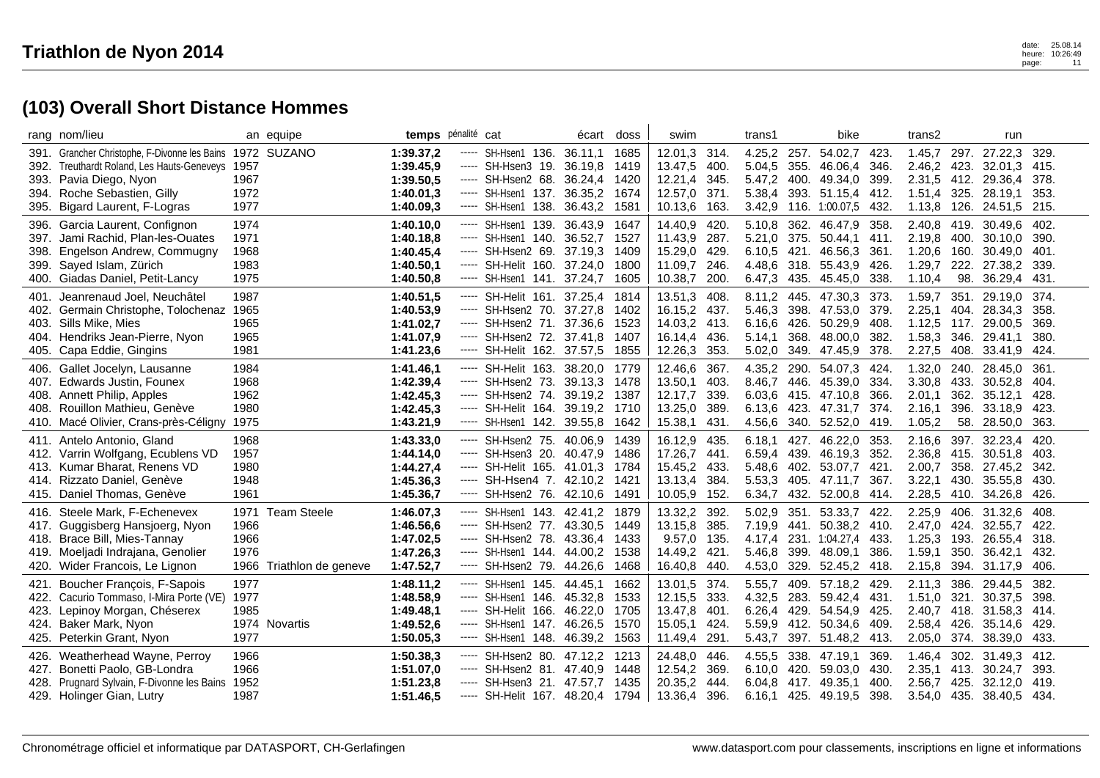|      | rang nom/lieu                                             |              | an equipe                | temps pénalité cat |                                                                                                                                                                                                                                                                                                                                                                                                                                                                                        |                                  | écart   | doss | swim         |              | trans1 |      | bike                    |       | trans2      |      | run                            |              |
|------|-----------------------------------------------------------|--------------|--------------------------|--------------------|----------------------------------------------------------------------------------------------------------------------------------------------------------------------------------------------------------------------------------------------------------------------------------------------------------------------------------------------------------------------------------------------------------------------------------------------------------------------------------------|----------------------------------|---------|------|--------------|--------------|--------|------|-------------------------|-------|-------------|------|--------------------------------|--------------|
|      | 391. Grancher Christophe, F-Divonne les Bains 1972 SUZANO |              |                          | 1:39.37,2          | -----                                                                                                                                                                                                                                                                                                                                                                                                                                                                                  | SH-Hsen1 136.                    | 36.11,1 | 1685 | 12.01,3 314. |              | 4.25,2 | 257. | 54.02,7 423             |       | 1.45.7      |      | 297. 27.22,3                   | -329.        |
| 392. | Treuthardt Roland, Les Hauts-Geneveys 1957                |              |                          | 1:39.45,9          | -----                                                                                                                                                                                                                                                                                                                                                                                                                                                                                  | SH-Hsen3 19.                     | 36.19,8 | 1419 | 13.47,5      | 400.         | 5.04,5 | 355. | 46.06.4                 | 346   | 2.46,2 423. |      | 32.01.3                        | -415.        |
| 393. | Pavia Diego, Nyon                                         | 1967         |                          | 1:39.50,5          | -----                                                                                                                                                                                                                                                                                                                                                                                                                                                                                  | SH-Hsen2 68. 36.24,4             |         | 1420 | 12.21,4      | 345.         | 5.47,2 |      | 400. 49.34,0            | 399   |             |      | 2.31,5 412. 29.36,4            | 378.         |
|      | 394. Roche Sebastien, Gilly                               | 1972         |                          | 1:40.01.3          | -----                                                                                                                                                                                                                                                                                                                                                                                                                                                                                  | SH-Hsen1 137. 36.35,2            |         | 1674 | 12.57,0      | 371.         | 5.38,4 |      | 393. 51.15,4            | 412   | 1.51,4      | 325. | 28.19,1                        | 353.         |
| 395. | Bigard Laurent, F-Logras                                  | 1977         |                          | 1:40.09.3          | -----                                                                                                                                                                                                                                                                                                                                                                                                                                                                                  | 138.<br>SH-Hsen1                 | 36.43,2 | 1581 | 10.13,6      | 163.         | 3.42,9 |      | 116. 1:00.07,5          | 432   | 1.13,8      | 126. | 24.51,5                        | 215.         |
| 396. | Garcia Laurent, Confignon                                 | 1974         |                          | 1:40.10,0          | -----                                                                                                                                                                                                                                                                                                                                                                                                                                                                                  | SH-Hsen1 139.                    | 36.43,9 | 1647 | 14.40,9      | 420.         | 5.10,8 | 362. | 46.47,9                 | 358   |             |      | 2.40,8 419. 30.49,6            | 402.         |
|      | 397. Jami Rachid, Plan-les-Ouates                         | 1971         |                          | 1:40.18,8          |                                                                                                                                                                                                                                                                                                                                                                                                                                                                                        | ----- SH-Hsen1 140.              | 36.52,7 | 1527 | 11.43,9      | 287.         | 5.21,0 | 375. | 50.44,1                 | 411   | 2.19.8      | 400. | 30.10,0                        | 390.         |
|      | 398. Engelson Andrew, Commugny                            | 1968         |                          | 1:40.45,4          |                                                                                                                                                                                                                                                                                                                                                                                                                                                                                        | ----- SH-Hsen2 69.               | 37.19.3 | 1409 | 15.29,0      | 429.         | 6.10.5 | 421. | 46.56,3                 | 361   | 1.20,6      | 160. | 30.49,0                        | 401.         |
|      | 399. Sayed Islam, Zürich                                  | 1983         |                          | 1:40.50.1          |                                                                                                                                                                                                                                                                                                                                                                                                                                                                                        | ----- SH-Helit 160. 37.24,0      |         | 1800 | 11.09,7      | 246.         | 4.48,6 |      | 318. 55.43,9            | 426.  | 1.29.7      | 222. | 27.38,2                        | 339.         |
|      | 400. Giadas Daniel, Petit-Lancy                           | 1975         |                          | 1:40.50,8          | $\cdots$                                                                                                                                                                                                                                                                                                                                                                                                                                                                               | SH-Hsen1 141. 37.24,7            |         | 1605 | 10.38,7      | 200.         | 6.47,3 |      | 435. 45.45,0            | 338.  | 1.10,4      | 98.  | 36.29,4                        | 431.         |
|      |                                                           |              |                          |                    |                                                                                                                                                                                                                                                                                                                                                                                                                                                                                        |                                  |         |      |              |              |        |      |                         |       |             |      |                                |              |
| 401. | Jeanrenaud Joel, Neuchâtel                                | 1987         |                          | 1:40.51,5          | -----                                                                                                                                                                                                                                                                                                                                                                                                                                                                                  | SH-Helit 161. 37.25,4            |         | 1814 | 13.51,3      | 408.         | 8.11,2 | 445. | 47.30,3                 | 373   | 1.59,7      | 351. | 29.19,0                        | 374.         |
|      | 402. Germain Christophe, Tolochenaz                       | 1965         |                          | 1:40.53,9          | -----                                                                                                                                                                                                                                                                                                                                                                                                                                                                                  | SH-Hsen2 70, 37,27.8             |         | 1402 | 16.15,2 437. |              | 5.46,3 |      | 398. 47.53.0            | 379.  | 2.25,1      |      | 404. 28.34.3                   | 358.<br>369. |
|      | 403. Sills Mike, Mies                                     | 1965         |                          | 1:41.02,7          | -----                                                                                                                                                                                                                                                                                                                                                                                                                                                                                  | SH-Hsen2 71. 37.36,6             |         | 1523 | 14.03,2      | 413.<br>436. | 6.16,6 | 368. | 426. 50.29,9<br>48.00.0 | 408   |             | 346. | 1.12,5 117. 29.00,5<br>29.41.1 | 380.         |
| 404. | Hendriks Jean-Pierre, Nyon                                | 1965<br>1981 |                          | 1:41.07,9          | -----                                                                                                                                                                                                                                                                                                                                                                                                                                                                                  | SH-Hsen2 72. 37.41,8             |         | 1407 | 16.14,4      |              | 5.14,1 |      |                         | 382   | 1.58,3      |      |                                |              |
|      | 405. Capa Eddie, Gingins                                  |              |                          | 1:41.23,6          |                                                                                                                                                                                                                                                                                                                                                                                                                                                                                        | ----- SH-Helit 162. 37.57,5      |         | 1855 | 12.26,3      | 353.         | 5.02,0 |      | 349. 47.45,9 378.       |       | 2.27,5      | 408. | 33.41,9                        | 424.         |
|      | 406. Gallet Jocelyn, Lausanne                             | 1984         |                          | 1:41.46,1          | $\cdots$                                                                                                                                                                                                                                                                                                                                                                                                                                                                               | SH-Helit 163.                    | 38.20.0 | 1779 | 12.46,6      | 367.         | 4.35,2 | 290. | 54.07.3 424             |       | 1.32,0      | 240. | 28.45.0                        | 361.         |
|      | 407. Edwards Justin, Founex                               | 1968         |                          | 1:42.39,4          | -----                                                                                                                                                                                                                                                                                                                                                                                                                                                                                  | SH-Hsen2 73.                     | 39.13,3 | 1478 | 13.50,1      | 403.         | 8.46,7 | 446. | 45.39,0                 | 334   | 3.30,8      | 433. | 30.52,8                        | 404.         |
|      | 408. Annett Philip, Apples                                | 1962         |                          | 1:42.45,3          | -----                                                                                                                                                                                                                                                                                                                                                                                                                                                                                  | SH-Hsen2 74. 39.19,2             |         | 1387 | 12.17,7      | 339.         | 6.03.6 |      | 415. 47.10.8            | 366   | 2.01.1      | 362. | 35.12.1                        | 428.         |
|      | 408. Rouillon Mathieu, Genève                             | 1980         |                          | 1:42.45,3          | -----                                                                                                                                                                                                                                                                                                                                                                                                                                                                                  | SH-Helit 164. 39.19,2            |         | 1710 | 13.25,0      | 389.         | 6.13,6 |      | 423. 47.31,7 374.       |       | 2.16,1      | 396. | 33.18,9                        | 423.         |
|      | 410. Macé Olivier, Crans-près-Céligny                     | 1975         |                          | 1:43.21,9          | $\cdots$                                                                                                                                                                                                                                                                                                                                                                                                                                                                               | SH-Hsen1 142.                    | 39.55,8 | 1642 | 15.38,1      | 431.         | 4.56,6 |      | 340. 52.52,0            | 419   | 1.05,2      | 58.  | 28.50,0                        | 363.         |
|      | 411. Antelo Antonio, Gland                                | 1968         |                          | 1:43.33,0          |                                                                                                                                                                                                                                                                                                                                                                                                                                                                                        | ----- SH-Hsen2 75.               | 40.06.9 | 1439 | 16.12,9      | 435.         | 6.18.1 |      | 427. 46.22,0            | 353   | 2.16,6      |      | 397. 32.23,4                   | 420.         |
|      | 412. Varrin Wolfgang, Ecublens VD                         | 1957         |                          | 1:44.14,0          |                                                                                                                                                                                                                                                                                                                                                                                                                                                                                        | ----- SH-Hsen3 20. 40.47,9       |         | 1486 | 17.26,7      | 441          | 6.59.4 |      | 439. 46.19.3            | 352   | 2.36,8      | 415. | 30.51.8                        | 403.         |
|      | 413. Kumar Bharat, Renens VD                              | 1980         |                          | 1:44.27,4          |                                                                                                                                                                                                                                                                                                                                                                                                                                                                                        | ----- SH-Helit 165. 41.01,3      |         | 1784 | 15.45,2      | 433.         | 5.48,6 | 402. | 53.07,7                 | 421   | 2.00,7      | 358. | 27.45,2                        | 342.         |
|      | 414. Rizzato Daniel, Genève                               | 1948         |                          | 1:45.36,3          |                                                                                                                                                                                                                                                                                                                                                                                                                                                                                        | ----- SH-Hsen4 7, 42,10,2 1421   |         |      | 13.13,4      | 384.         | 5.53,3 |      | 405. 47.11.7            | 367.  | 3.22,1      |      | 430. 35.55.8                   | -430.        |
|      | 415. Daniel Thomas, Genève                                | 1961         |                          | 1:45.36.7          |                                                                                                                                                                                                                                                                                                                                                                                                                                                                                        | ----- SH-Hsen2 76. 42.10.6       |         | 1491 | 10.05,9      | 152.         | 6.34,7 |      | 432. 52.00,8            | -414. |             |      | 2.28,5 410. 34.26,8            | 426.         |
|      | 416. Steele Mark, F-Echenevex                             |              | 1971 Team Steele         | 1:46.07,3          | -----                                                                                                                                                                                                                                                                                                                                                                                                                                                                                  | SH-Hsen1 143, 42.41.2            |         | 1879 | 13.32,2      | 392.         | 5.02,9 |      | 351. 53.33,7            | 422   | 2.25,9      | 406. | 31.32.6                        | 408.         |
| 417. | Guggisberg Hansjoerg, Nyon                                | 1966         |                          | 1:46.56,6          |                                                                                                                                                                                                                                                                                                                                                                                                                                                                                        | ----- SH-Hsen2 77. 43.30,5       |         | 1449 | 13.15,8      | 385.         | 7.19,9 |      | 441. 50.38,2 410.       |       |             |      | 2.47,0 424. 32.55,7            | 422.         |
|      | 418. Brace Bill, Mies-Tannay                              | 1966         |                          | 1:47.02,5          | -----                                                                                                                                                                                                                                                                                                                                                                                                                                                                                  | SH-Hsen2 78. 43.36,4             |         | 1433 | 9.57,0       | 135.         | 4.17,4 |      | 231. 1:04.27,4 433.     |       | 1.25,3      |      | 193. 26.55,4                   | -318.        |
|      | 419. Moeljadi Indrajana, Genolier                         | 1976         |                          | 1:47.26,3          | -----                                                                                                                                                                                                                                                                                                                                                                                                                                                                                  | SH-Hsen1 144.                    | 44.00,2 | 1538 | 14.49,2      | 421.         | 5.46,8 | 399. | 48.09.1                 | 386   | 1.59,1      | 350. | 36.42,1                        | 432.         |
|      | 420. Wider Francois, Le Lignon                            |              | 1966 Triathlon de geneve | 1:47.52,7          |                                                                                                                                                                                                                                                                                                                                                                                                                                                                                        | ----- SH-Hsen2 79.               | 44.26,6 | 1468 | 16.40,8      | 440.         | 4.53,0 |      | 329. 52.45,2 418.       |       | 2.15,8      |      | 394. 31.17,9                   | 406.         |
| 421. | Boucher François, F-Sapois                                | 1977         |                          | 1:48.11.2          | -----                                                                                                                                                                                                                                                                                                                                                                                                                                                                                  | SH-Hsen1 145.                    | 44.45,1 | 1662 | 13.01,5      | 374.         | 5.55,7 | 409. | 57.18,2 429             |       | 2.11,3      | 386. | 29.44,5                        | 382.         |
|      | 422. Cacurio Tommaso, I-Mira Porte (VE)                   | 1977         |                          | 1:48.58,9          | -----                                                                                                                                                                                                                                                                                                                                                                                                                                                                                  | SH-Hsen1 146.                    | 45.32,8 | 1533 | 12.15,5      | 333.         | 4.32,5 | 283. | 59.42,4                 | 431   | 1.51,0      |      | 321. 30.37,5                   | 398.         |
| 423. | Lepinoy Morgan, Chéserex                                  | 1985         |                          | 1:49.48.1          |                                                                                                                                                                                                                                                                                                                                                                                                                                                                                        | SH-Helit 166.                    | 46.22,0 | 1705 | 13.47,8      | 401.         | 6.26,4 | 429. | 54.54,9                 | 425   | 2.40,7 418. |      | 31.58,3                        | 414.         |
|      | 424. Baker Mark, Nyon                                     |              | 1974 Novartis            | 1:49.52,6          | -----                                                                                                                                                                                                                                                                                                                                                                                                                                                                                  | SH-Hsen1 147.                    | 46.26,5 | 1570 | 15.05,1      | 424.         | 5.59,9 | 412. | 50.34,6                 | 409   | 2.58,4      | 426. | 35.14,6                        | 429.         |
|      | 425. Peterkin Grant, Nyon                                 | 1977         |                          | 1:50.05,3          | $\begin{array}{cccccccccc} \multicolumn{2}{c}{} & \multicolumn{2}{c}{} & \multicolumn{2}{c}{} & \multicolumn{2}{c}{} & \multicolumn{2}{c}{} & \multicolumn{2}{c}{} & \multicolumn{2}{c}{} & \multicolumn{2}{c}{} & \multicolumn{2}{c}{} & \multicolumn{2}{c}{} & \multicolumn{2}{c}{} & \multicolumn{2}{c}{} & \multicolumn{2}{c}{} & \multicolumn{2}{c}{} & \multicolumn{2}{c}{} & \multicolumn{2}{c}{} & \multicolumn{2}{c}{} & \multicolumn{2}{c}{} & \multicolumn{2}{c}{} & \mult$ | 148.<br>SH-Hsen1                 | 46.39,2 | 1563 | 11.49,4      | 291.         | 5.43,7 | 397. | 51.48,2 413.            |       | 2.05,0 374. |      | 38.39,0                        | 433.         |
|      |                                                           |              |                          |                    |                                                                                                                                                                                                                                                                                                                                                                                                                                                                                        |                                  |         |      |              |              |        |      |                         |       |             |      |                                |              |
|      | 426. Weatherhead Wayne, Perroy                            | 1966         |                          | 1:50.38,3          |                                                                                                                                                                                                                                                                                                                                                                                                                                                                                        | ----- SH-Hsen2 80, 47.12.2       |         | 1213 | 24.48,0      | 446.         | 4.55,5 |      | 338. 47.19.1            | 369   | 1.46.4      |      | 302. 31.49.3                   | -412.        |
| 427. | Bonetti Paolo, GB-Londra                                  | 1966         |                          | 1:51.07,0          |                                                                                                                                                                                                                                                                                                                                                                                                                                                                                        | ----- SH-Hsen2 81. 47.40,9       |         | 1448 | 12.54,2      | 369.         | 6.10,0 |      | 420. 59.03,0            | 430.  | 2.35,1      |      | 413. 30.24,7                   | 393.         |
|      | 428. Prugnard Sylvain, F-Divonne les Bains                | 1952         |                          | 1:51.23,8          |                                                                                                                                                                                                                                                                                                                                                                                                                                                                                        | ----- SH-Hsen3 21. 47.57,7       |         | 1435 | 20.35,2      | 444.         | 6.04.8 | 417. | 49.35.1                 | 400   | 2.56,7      | 425. | 32.12,0                        | -419.        |
|      | 429. Holinger Gian, Lutry                                 | 1987         |                          | 1:51.46,5          |                                                                                                                                                                                                                                                                                                                                                                                                                                                                                        | ----- SH-Helit 167. 48.20,4 1794 |         |      | 13.36,4      | 396.         | 6.16,1 |      | 425. 49.19,5            | 398.  |             |      | 3.54,0 435. 38.40,5 434.       |              |